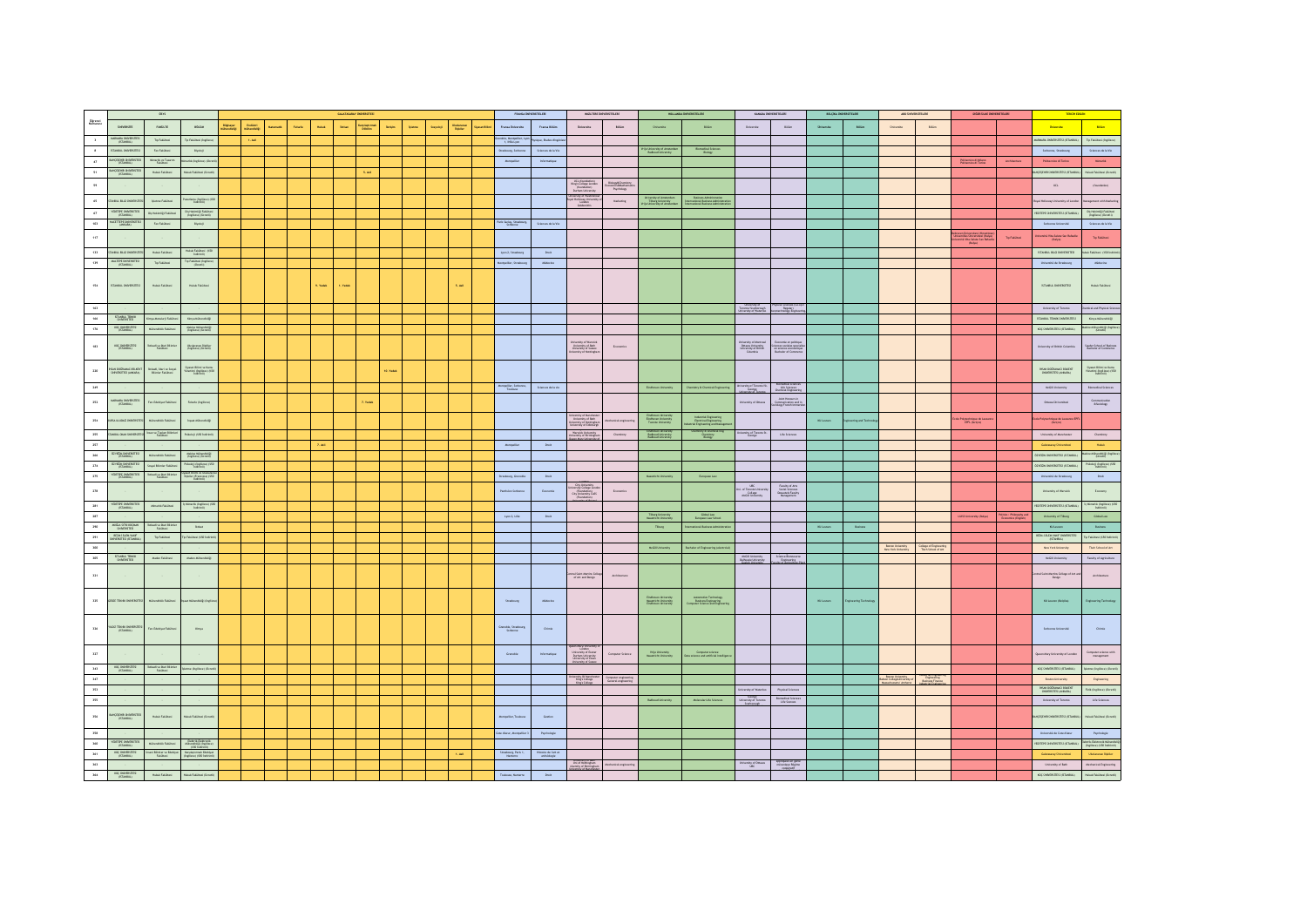|                     | ösys                                                                                    |                                                            |                                                                                                       |                                                                                                       |                  |                 | <b>GILATASARAY ÜNIVERSİTE</b> |                              |                                     |                       |          |         |                                                                                                                                                |               | FRANSA ÜNIVERSİTELERİ                      |                                                                                                                                                                                                                                                                                                                                                                                                                                         | INGILTERE ÜNIVERSITELERİ                                                                                                                                                                                                                                           |                                                     |                                                                                                         | HOLLANDA ÜNIVERSİTELERİ                                                                              |                                                                                          | KANADA ÜNIVERSİTELERİ                                                                                                                                                                                                                                                                                                                                                                                                                                                                               | BELCIKA ÜNIVERSİTELER |                 | ABD ÜNIVERSİTELERİ                                                                                                           |                                               | <b>DIĞER ÜLKE ÜNIVERSİTELERİ</b>                                                                             |                                                         | <b>TERCÍN EDÍLEN</b>                             |                                                                                 |
|---------------------|-----------------------------------------------------------------------------------------|------------------------------------------------------------|-------------------------------------------------------------------------------------------------------|-------------------------------------------------------------------------------------------------------|------------------|-----------------|-------------------------------|------------------------------|-------------------------------------|-----------------------|----------|---------|------------------------------------------------------------------------------------------------------------------------------------------------|---------------|--------------------------------------------|-----------------------------------------------------------------------------------------------------------------------------------------------------------------------------------------------------------------------------------------------------------------------------------------------------------------------------------------------------------------------------------------------------------------------------------------|--------------------------------------------------------------------------------------------------------------------------------------------------------------------------------------------------------------------------------------------------------------------|-----------------------------------------------------|---------------------------------------------------------------------------------------------------------|------------------------------------------------------------------------------------------------------|------------------------------------------------------------------------------------------|-----------------------------------------------------------------------------------------------------------------------------------------------------------------------------------------------------------------------------------------------------------------------------------------------------------------------------------------------------------------------------------------------------------------------------------------------------------------------------------------------------|-----------------------|-----------------|------------------------------------------------------------------------------------------------------------------------------|-----------------------------------------------|--------------------------------------------------------------------------------------------------------------|---------------------------------------------------------|--------------------------------------------------|---------------------------------------------------------------------------------|
| Öğrenci<br>Numarası | <b><i><u>Delversity</u></i></b>                                                         | $_{\rm raintm}$                                            | ačcim                                                                                                 | $\begin{tabular}{ c c } \hline Bqinyar & Eddari \\ \hline 8080000 & 80800000 \\ \hline \end{tabular}$ | <b>Retenativ</b> | $_{\rm Felute}$ | <b>Hakak</b>                  | $\mathop{\rm kbar}\nolimits$ |                                     | $\frac{1}{2}$ incides | ijetne : | Service |                                                                                                                                                | Siyaset Bills | Fransa Üniversite                          | Frank Miller                                                                                                                                                                                                                                                                                                                                                                                                                            | $\label{eq:2} We have the$                                                                                                                                                                                                                                         | sau                                                 |                                                                                                         |                                                                                                      | Dráverste                                                                                | $_{\rm max}$                                                                                                                                                                                                                                                                                                                                                                                                                                                                                        | <b>Golvervice</b>     | <b>Billin</b>   | $\hbox{\textbf{D}}$ is the contract of $\hbox{\textbf{D}}$                                                                   | $_{\rm max}$                                  |                                                                                                              |                                                         | <b>Golvenite</b>                                 | $\frac{1}{2}$                                                                   |
|                     |                                                                                         |                                                            |                                                                                                       |                                                                                                       |                  |                 |                               |                              | Karpiagtemah<br>Dilbilim            |                       |          |         | Ulashman<br><br>n $\label{eq:1} \frac{\mathop{\sf Ul} \mathop{\sf uclh} \mathop{\sf ncm}}{\mathop{\sf li} \mathop{\sf pclh} \mathop{\sf lcm}}$ |               |                                            |                                                                                                                                                                                                                                                                                                                                                                                                                                         |                                                                                                                                                                                                                                                                    |                                                     |                                                                                                         |                                                                                                      |                                                                                          |                                                                                                                                                                                                                                                                                                                                                                                                                                                                                                     |                       |                 |                                                                                                                              |                                               |                                                                                                              |                                                         |                                                  |                                                                                 |
| $\sim$              | MARANA DVNDS                                                                            | To Fakilore                                                | .<br>Ng Fakilteri (Inglia                                                                             | 1.50                                                                                                  |                  |                 |                               |                              |                                     |                       |          |         |                                                                                                                                                |               | idós, Mortpellier, Ly<br>1, INGA Lyon      | ous. Etudes d'in                                                                                                                                                                                                                                                                                                                                                                                                                        |                                                                                                                                                                                                                                                                    |                                                     |                                                                                                         |                                                                                                      |                                                                                          |                                                                                                                                                                                                                                                                                                                                                                                                                                                                                                     |                       |                 |                                                                                                                              |                                               |                                                                                                              |                                                         | <b>MOMADA INVESTITE</b> (STAND)                  | Tip Fakültesi (İngilizce                                                        |
| $\sim$              | <b>STANDA DIVERSITE</b>                                                                 | Fes Fakülteri                                              | <b>Bysing</b>                                                                                         |                                                                                                       |                  |                 |                               |                              |                                     |                       |          |         |                                                                                                                                                |               | Strasbourg, Sorbonne                       | Sciences de la Vie                                                                                                                                                                                                                                                                                                                                                                                                                      |                                                                                                                                                                                                                                                                    |                                                     | itje University of Amsterdam<br>Radboud University                                                      | Exmedical Sciences<br>Ecology                                                                        |                                                                                          |                                                                                                                                                                                                                                                                                                                                                                                                                                                                                                     |                       |                 |                                                                                                                              |                                               |                                                                                                              |                                                         | Sorbonne, Strasbourg                             | Sciences de la Vie                                                              |
|                     |                                                                                         |                                                            |                                                                                                       |                                                                                                       |                  |                 |                               |                              |                                     |                       |          |         |                                                                                                                                                |               |                                            |                                                                                                                                                                                                                                                                                                                                                                                                                                         |                                                                                                                                                                                                                                                                    |                                                     |                                                                                                         |                                                                                                      |                                                                                          |                                                                                                                                                                                                                                                                                                                                                                                                                                                                                                     |                       |                 |                                                                                                                              |                                               |                                                                                                              |                                                         |                                                  |                                                                                 |
| $\sigma$            | EMICESDER DENERST                                                                       | Mimarbik ve Tasarım<br>Enkilteeri                          | atik (ogilizce) (G                                                                                    |                                                                                                       |                  |                 |                               |                              |                                     |                       |          |         |                                                                                                                                                |               | Montpeller                                 | Informatique                                                                                                                                                                                                                                                                                                                                                                                                                            |                                                                                                                                                                                                                                                                    |                                                     |                                                                                                         |                                                                                                      |                                                                                          |                                                                                                                                                                                                                                                                                                                                                                                                                                                                                                     |                       |                 |                                                                                                                              |                                               | Palitecnico di Milano<br>Politecnico di Torino                                                               | Architecture                                            | Politectics di Tarino                            | Minarix                                                                         |
|                     | EANCESDAR UNIVERS<br>(STANBUL)                                                          | Hakak Fakülteri                                            | .<br>Auk Fakültesi (ücreti                                                                            |                                                                                                       |                  |                 |                               |                              | $\bar{\mathbf{s}},\bar{\mathbf{m}}$ |                       |          |         |                                                                                                                                                |               |                                            |                                                                                                                                                                                                                                                                                                                                                                                                                                         |                                                                                                                                                                                                                                                                    |                                                     |                                                                                                         |                                                                                                      |                                                                                          |                                                                                                                                                                                                                                                                                                                                                                                                                                                                                                     |                       |                 |                                                                                                                              |                                               |                                                                                                              |                                                         | stale bevicesmisi (ista                          | <b>Hukuk Fakützesi (Doret</b>                                                   |
|                     |                                                                                         |                                                            |                                                                                                       |                                                                                                       |                  |                 |                               |                              |                                     |                       |          |         |                                                                                                                                                |               |                                            |                                                                                                                                                                                                                                                                                                                                                                                                                                         | $\begin{array}{r} \text{UCL (function)}\\ \text{Kngit College London} \\ \text{function}\\ \text{fuantation} \end{array}$                                                                                                                                          | Esiogy&Chamistry<br>conomics&Mathemat<br>Psychology |                                                                                                         |                                                                                                      |                                                                                          |                                                                                                                                                                                                                                                                                                                                                                                                                                                                                                     |                       |                 |                                                                                                                              |                                               |                                                                                                              |                                                         | $\alpha$                                         | $\delta$ sundation)                                                             |
|                     |                                                                                         |                                                            |                                                                                                       |                                                                                                       |                  |                 |                               |                              |                                     |                       |          |         |                                                                                                                                                |               |                                            |                                                                                                                                                                                                                                                                                                                                                                                                                                         |                                                                                                                                                                                                                                                                    |                                                     |                                                                                                         |                                                                                                      |                                                                                          |                                                                                                                                                                                                                                                                                                                                                                                                                                                                                                     |                       |                 |                                                                                                                              |                                               |                                                                                                              |                                                         |                                                  |                                                                                 |
| $\epsilon s$        | TANBUL BILGI ÜNINE                                                                      | Idetme Fakülteri                                           | szarlama (İngilizce) ()<br>Indirimli)                                                                 |                                                                                                       |                  |                 |                               |                              |                                     |                       |          |         |                                                                                                                                                |               |                                            |                                                                                                                                                                                                                                                                                                                                                                                                                                         | University of Measurings<br>Ruyal Holloway University<br>Coldomitis                                                                                                                                                                                                | $\it Mathering$                                     | University of Ammerican<br>Tilburg University<br>Wrije University of Ammerican                          | Business Administration<br>International Business Administr<br>International Business Administr      |                                                                                          |                                                                                                                                                                                                                                                                                                                                                                                                                                                                                                     |                       |                 |                                                                                                                              |                                               |                                                                                                              |                                                         |                                                  | agement with Mar                                                                |
|                     |                                                                                         |                                                            |                                                                                                       |                                                                                                       |                  |                 |                               |                              |                                     |                       |          |         |                                                                                                                                                |               |                                            |                                                                                                                                                                                                                                                                                                                                                                                                                                         |                                                                                                                                                                                                                                                                    |                                                     |                                                                                                         |                                                                                                      |                                                                                          |                                                                                                                                                                                                                                                                                                                                                                                                                                                                                                     |                       |                 |                                                                                                                              |                                               |                                                                                                              |                                                         |                                                  |                                                                                 |
| $\sigma$            | <b>YESITERE DIVERSITE</b>                                                               | Dig Harkindiği Fakülteci                                   | Diş Hekimliği Fakülteci<br>(İngilizce) (Öcreti)                                                       |                                                                                                       |                  |                 |                               |                              |                                     |                       |          |         |                                                                                                                                                |               |                                            |                                                                                                                                                                                                                                                                                                                                                                                                                                         |                                                                                                                                                                                                                                                                    |                                                     |                                                                                                         |                                                                                                      |                                                                                          |                                                                                                                                                                                                                                                                                                                                                                                                                                                                                                     |                       |                 |                                                                                                                              |                                               |                                                                                                              |                                                         | EDITINE ENVERSITESI (ISTAMELE)                   | Dig Heidmöği Fakülteci<br>(İngilizce) (Doveli)                                  |
|                     | HACETTEPE ÜNINERSIT<br>(ANKARA)                                                         | .<br>Fes Fakützesi                                         | $_{\rm 10\,GHz}$                                                                                      |                                                                                                       |                  |                 |                               |                              |                                     |                       |          |         |                                                                                                                                                |               | Paris Saciag, Strasbourg,<br>Sorbonne      | Sciences de la Vie                                                                                                                                                                                                                                                                                                                                                                                                                      |                                                                                                                                                                                                                                                                    |                                                     |                                                                                                         |                                                                                                      |                                                                                          |                                                                                                                                                                                                                                                                                                                                                                                                                                                                                                     |                       |                 |                                                                                                                              |                                               |                                                                                                              |                                                         | Sarbonne Universit                               | Sciences de la Vie                                                              |
|                     |                                                                                         |                                                            |                                                                                                       |                                                                                                       |                  |                 |                               |                              |                                     |                       |          |         |                                                                                                                                                |               |                                            |                                                                                                                                                                                                                                                                                                                                                                                                                                         |                                                                                                                                                                                                                                                                    |                                                     |                                                                                                         |                                                                                                      |                                                                                          |                                                                                                                                                                                                                                                                                                                                                                                                                                                                                                     |                       |                 |                                                                                                                              |                                               |                                                                                                              |                                                         |                                                  |                                                                                 |
|                     |                                                                                         |                                                            |                                                                                                       |                                                                                                       |                  |                 |                               |                              |                                     |                       |          |         |                                                                                                                                                |               |                                            |                                                                                                                                                                                                                                                                                                                                                                                                                                         |                                                                                                                                                                                                                                                                    |                                                     |                                                                                                         |                                                                                                      |                                                                                          |                                                                                                                                                                                                                                                                                                                                                                                                                                                                                                     |                       |                 |                                                                                                                              |                                               | preces Drivenined (missa)<br>Joicamillar, Drivenined (fraigh)<br>nivenina Vira-Salute San Rafael<br>(fraigh) | To Fakiltoni                                            | versità Vita-Salute San Rafi<br>(Italya)         | Tip Fakültesi                                                                   |
| 133                 | <b>STANDAL BILGI GNIVER</b>                                                             | Hakak Fakülteri                                            | Hukuk Fakützesi (150 $\,$ ledirimli)                                                                  |                                                                                                       |                  |                 |                               |                              |                                     |                       |          |         |                                                                                                                                                |               | Lyon 2, Strasbourg                         | $_{\rm{brot}}$                                                                                                                                                                                                                                                                                                                                                                                                                          |                                                                                                                                                                                                                                                                    |                                                     |                                                                                                         |                                                                                                      |                                                                                          |                                                                                                                                                                                                                                                                                                                                                                                                                                                                                                     |                       |                 |                                                                                                                              |                                               |                                                                                                              |                                                         | <b>ISTIMBER, BILGI ENVERSITES</b>                | k Fakültesi (150 in                                                             |
|                     |                                                                                         |                                                            |                                                                                                       |                                                                                                       |                  |                 |                               |                              |                                     |                       |          |         |                                                                                                                                                |               |                                            |                                                                                                                                                                                                                                                                                                                                                                                                                                         |                                                                                                                                                                                                                                                                    |                                                     |                                                                                                         |                                                                                                      |                                                                                          |                                                                                                                                                                                                                                                                                                                                                                                                                                                                                                     |                       |                 |                                                                                                                              |                                               |                                                                                                              |                                                         |                                                  |                                                                                 |
| 139                 | <b><i>HALTER DIVERSITES</i></b>                                                         | Tip Fakültesi                                              | Tıp Fakültəsi (İngilizcə)<br>(Qoreti)                                                                 |                                                                                                       |                  |                 |                               |                              |                                     |                       |          |         |                                                                                                                                                |               | Austpelier, Stratbourg                     | ${\sf M}$ decise                                                                                                                                                                                                                                                                                                                                                                                                                        |                                                                                                                                                                                                                                                                    |                                                     |                                                                                                         |                                                                                                      |                                                                                          |                                                                                                                                                                                                                                                                                                                                                                                                                                                                                                     |                       |                 |                                                                                                                              |                                               |                                                                                                              |                                                         | Université de Stradourg                          | $\,$ midecise $\,$                                                              |
|                     |                                                                                         |                                                            |                                                                                                       |                                                                                                       |                  |                 |                               |                              |                                     |                       |          |         |                                                                                                                                                |               |                                            |                                                                                                                                                                                                                                                                                                                                                                                                                                         |                                                                                                                                                                                                                                                                    |                                                     |                                                                                                         |                                                                                                      |                                                                                          |                                                                                                                                                                                                                                                                                                                                                                                                                                                                                                     |                       |                 |                                                                                                                              |                                               |                                                                                                              |                                                         |                                                  |                                                                                 |
| 154                 | STANBUL DIRVERS!                                                                        | <b>Hukuk Fakülte</b>                                       | <b>Hukuk Fakültesi</b>                                                                                |                                                                                                       |                  |                 | s.<br>Vedek                   | t. Yedek                     |                                     |                       |          |         | $\bar{\mathbf{x}}$ as                                                                                                                          |               |                                            |                                                                                                                                                                                                                                                                                                                                                                                                                                         |                                                                                                                                                                                                                                                                    |                                                     |                                                                                                         |                                                                                                      |                                                                                          |                                                                                                                                                                                                                                                                                                                                                                                                                                                                                                     |                       |                 |                                                                                                                              |                                               |                                                                                                              |                                                         | <b>ISTANBUL ENVERSITES</b>                       | <b>Hukuk Fakülter</b>                                                           |
|                     |                                                                                         |                                                            |                                                                                                       |                                                                                                       |                  |                 |                               |                              |                                     |                       |          |         |                                                                                                                                                |               |                                            |                                                                                                                                                                                                                                                                                                                                                                                                                                         |                                                                                                                                                                                                                                                                    |                                                     |                                                                                                         |                                                                                                      |                                                                                          |                                                                                                                                                                                                                                                                                                                                                                                                                                                                                                     |                       |                 |                                                                                                                              |                                               |                                                                                                              |                                                         |                                                  |                                                                                 |
|                     |                                                                                         |                                                            |                                                                                                       |                                                                                                       |                  |                 |                               |                              |                                     |                       |          |         |                                                                                                                                                |               |                                            |                                                                                                                                                                                                                                                                                                                                                                                                                                         |                                                                                                                                                                                                                                                                    |                                                     |                                                                                                         |                                                                                                      |                                                                                          |                                                                                                                                                                                                                                                                                                                                                                                                                                                                                                     |                       |                 |                                                                                                                              |                                               |                                                                                                              |                                                         |                                                  |                                                                                 |
| 163                 |                                                                                         |                                                            |                                                                                                       |                                                                                                       |                  |                 |                               |                              |                                     |                       |          |         |                                                                                                                                                |               |                                            |                                                                                                                                                                                                                                                                                                                                                                                                                                         |                                                                                                                                                                                                                                                                    |                                                     |                                                                                                         |                                                                                                      | University of<br>Toronto/Scarborough<br>University of Vitamico                           | hysical Sciences (Co-<br>Bagdar)<br>Motechnology Engine                                                                                                                                                                                                                                                                                                                                                                                                                                             |                       |                 |                                                                                                                              |                                               |                                                                                                              |                                                         | University of Toronto                            | <b>Chemical and Physical Scie</b>                                               |
| $166 -$             | <b>ISTANBUL TEXNIK</b><br>ENVINSITESI                                                   | .<br>Imya-Metalurji Fakülter                               | Kinya Mihendisi (ji                                                                                   |                                                                                                       |                  |                 |                               |                              |                                     |                       |          |         |                                                                                                                                                |               |                                            |                                                                                                                                                                                                                                                                                                                                                                                                                                         |                                                                                                                                                                                                                                                                    |                                                     |                                                                                                         |                                                                                                      |                                                                                          |                                                                                                                                                                                                                                                                                                                                                                                                                                                                                                     |                       |                 |                                                                                                                              |                                               |                                                                                                              |                                                         | <b>ISTANBUL TENNIK ENVIRONTES</b>                | <b>Knys Kihondiciji</b>                                                         |
| 176                 | KOÇ ÜNİNDESİTDI<br>(İSTANBUL)                                                           | <b>Mühendicik Fakülteci</b>                                | $\begin{array}{c} \text{Rai\'e} \alpha \text{ Alhendul\'i} \\ \text{(logilac*) (Qorrti)} \end{array}$ |                                                                                                       |                  |                 |                               |                              |                                     |                       |          |         |                                                                                                                                                |               |                                            |                                                                                                                                                                                                                                                                                                                                                                                                                                         |                                                                                                                                                                                                                                                                    |                                                     |                                                                                                         |                                                                                                      |                                                                                          |                                                                                                                                                                                                                                                                                                                                                                                                                                                                                                     |                       |                 |                                                                                                                              |                                               |                                                                                                              |                                                         | KOC DHIVERSITES! (STANBUL)                       | ire Mihendidiji (İrgiliz<br>(Öcreti)                                            |
|                     |                                                                                         |                                                            |                                                                                                       |                                                                                                       |                  |                 |                               |                              |                                     |                       |          |         |                                                                                                                                                |               |                                            |                                                                                                                                                                                                                                                                                                                                                                                                                                         |                                                                                                                                                                                                                                                                    |                                                     |                                                                                                         |                                                                                                      |                                                                                          |                                                                                                                                                                                                                                                                                                                                                                                                                                                                                                     |                       |                 |                                                                                                                              |                                               |                                                                                                              |                                                         |                                                  |                                                                                 |
| 183                 | $\texttt{NOC}$ (industrial )                                                            | stadi ve İdari Bilimler<br>Fakültesi                       | Uluslararas liipider<br>(İngilizce) (Öcreti)                                                          |                                                                                                       |                  |                 |                               |                              |                                     |                       |          |         |                                                                                                                                                |               |                                            |                                                                                                                                                                                                                                                                                                                                                                                                                                         | University of Wanwick<br>University of Bath<br>University of Susses<br>University of Nottingham                                                                                                                                                                    | Economics                                           |                                                                                                         |                                                                                                      |                                                                                          | $\begin{tabular}{ l l } \hline University of Monormal \\ \hline \begin{tabular}{ l l } \hline \begin{tabular}{ l l } \hline \begin{tabular}{ l } \hline \begin{tabular}{ l } \hline \begin{tabular}{ c } \hline \begin{tabular}{ c } \hline \begin{tabular}{ c } \hline \begin{tabular}{ c } \hline \begin{tabular}{ c } \hline \begin{tabular}{ c } \hline \begin{tabular}{ c } \hline \begin{tabular}{ c } \hline \begin{tabular}{ c } \hline \begin{tabular}{ c } \hline \begin{tabular}{ c } \$ |                       |                 |                                                                                                                              |                                               |                                                                                                              |                                                         | University of British Columbia                   | Sauder School of Business<br>Bachelor of Commerce                               |
|                     |                                                                                         |                                                            |                                                                                                       |                                                                                                       |                  |                 |                               |                              |                                     |                       |          |         |                                                                                                                                                |               |                                            |                                                                                                                                                                                                                                                                                                                                                                                                                                         |                                                                                                                                                                                                                                                                    |                                                     |                                                                                                         |                                                                                                      |                                                                                          |                                                                                                                                                                                                                                                                                                                                                                                                                                                                                                     |                       |                 |                                                                                                                              |                                               |                                                                                                              |                                                         |                                                  |                                                                                 |
|                     |                                                                                         |                                                            |                                                                                                       |                                                                                                       |                  |                 |                               |                              |                                     |                       |          |         |                                                                                                                                                |               |                                            |                                                                                                                                                                                                                                                                                                                                                                                                                                         |                                                                                                                                                                                                                                                                    |                                                     |                                                                                                         |                                                                                                      |                                                                                          |                                                                                                                                                                                                                                                                                                                                                                                                                                                                                                     |                       |                 |                                                                                                                              |                                               |                                                                                                              |                                                         |                                                  |                                                                                 |
| 220                 | SANDOČAMACI BILK                                                                        | <b>Inclusodi, İstanl</b> ve Sonyalı<br>Bilimder Fakülterci | Siyaset Bilimi ve Kamu<br>Yünetimi doğlusur) (150<br>İndinmi)                                         |                                                                                                       |                  |                 |                               |                              |                                     | 10. Yedni             |          |         |                                                                                                                                                |               |                                            |                                                                                                                                                                                                                                                                                                                                                                                                                                         |                                                                                                                                                                                                                                                                    |                                                     |                                                                                                         |                                                                                                      |                                                                                          |                                                                                                                                                                                                                                                                                                                                                                                                                                                                                                     |                       |                 |                                                                                                                              |                                               |                                                                                                              |                                                         | INGAN DOĞRAMACI BILKINT<br>GNANERSITESI (ANKARA) | Siyaset Bilimi ve Kamu<br>Yönetimi (İngilizce) (150<br>İndirinli)               |
|                     |                                                                                         |                                                            |                                                                                                       |                                                                                                       |                  |                 |                               |                              |                                     |                       |          |         |                                                                                                                                                |               |                                            |                                                                                                                                                                                                                                                                                                                                                                                                                                         |                                                                                                                                                                                                                                                                    |                                                     |                                                                                                         |                                                                                                      |                                                                                          |                                                                                                                                                                                                                                                                                                                                                                                                                                                                                                     |                       |                 |                                                                                                                              |                                               |                                                                                                              |                                                         |                                                  |                                                                                 |
| 249                 |                                                                                         |                                                            |                                                                                                       |                                                                                                       |                  |                 |                               |                              |                                     |                       |          |         |                                                                                                                                                |               | Kantpellier, Sarbonne,<br>Taulouse         | $\label{eq:1} \begin{array}{lll} \textbf{S} & \textbf{S} & \textbf{S} & \textbf{S} \\ \textbf{S} & \textbf{S} & \textbf{S} & \textbf{S} \\ \textbf{S} & \textbf{S} & \textbf{S} & \textbf{S} \\ \textbf{S} & \textbf{S} & \textbf{S} & \textbf{S} \\ \textbf{S} & \textbf{S} & \textbf{S} & \textbf{S} \\ \textbf{S} & \textbf{S} & \textbf{S} & \textbf{S} \\ \textbf{S} & \textbf{S} & \textbf{S} & \textbf{S} & \textbf{S} \\ \text$ |                                                                                                                                                                                                                                                                    |                                                     | $\label{thm:nonlin} {\rm End} \, {\rm power \, University}$                                             | Chemistry & Chemical Engineering                                                                     | University of Toronto/St. Biomedical sciences<br>Company of Toronto Chemical Engineering |                                                                                                                                                                                                                                                                                                                                                                                                                                                                                                     |                       |                 |                                                                                                                              |                                               |                                                                                                              |                                                         | McGill University                                | <b>Biomedical Sciences</b>                                                      |
|                     |                                                                                         |                                                            |                                                                                                       |                                                                                                       |                  |                 |                               |                              |                                     |                       |          |         |                                                                                                                                                |               |                                            |                                                                                                                                                                                                                                                                                                                                                                                                                                         |                                                                                                                                                                                                                                                                    |                                                     |                                                                                                         |                                                                                                      |                                                                                          |                                                                                                                                                                                                                                                                                                                                                                                                                                                                                                     |                       |                 |                                                                                                                              |                                               |                                                                                                              |                                                         |                                                  |                                                                                 |
| 252                 | MARABA ÜNIVERSITESI<br>(STANBUL)                                                        | .<br>Fen-Edebiyat Fakülter                                 | Felsefe (Ingliace)                                                                                    |                                                                                                       |                  |                 |                               |                              | 7. Yedek                            |                       |          |         |                                                                                                                                                |               |                                            |                                                                                                                                                                                                                                                                                                                                                                                                                                         |                                                                                                                                                                                                                                                                    |                                                     |                                                                                                         |                                                                                                      | <b>University of Ottawa</b>                                                              | Asint Huncurt in<br>Communication and in<br>Sociology French Immersio                                                                                                                                                                                                                                                                                                                                                                                                                               |                       |                 |                                                                                                                              |                                               |                                                                                                              |                                                         | Ottawa Universitesi                              | $\begin{array}{c} \text{Commutation} \\ \text{R}' \text{acciology} \end{array}$ |
|                     |                                                                                         |                                                            |                                                                                                       |                                                                                                       |                  |                 |                               |                              |                                     |                       |          |         |                                                                                                                                                |               |                                            |                                                                                                                                                                                                                                                                                                                                                                                                                                         |                                                                                                                                                                                                                                                                    |                                                     |                                                                                                         |                                                                                                      |                                                                                          |                                                                                                                                                                                                                                                                                                                                                                                                                                                                                                     |                       |                 |                                                                                                                              |                                               |                                                                                                              |                                                         |                                                  |                                                                                 |
| 254                 | <b>A LLUDAG DIRIKTR</b>                                                                 | <b>Milhendick Fakülter</b>                                 | Inpat Mihendidiji                                                                                     |                                                                                                       |                  |                 |                               |                              |                                     |                       |          |         |                                                                                                                                                |               |                                            |                                                                                                                                                                                                                                                                                                                                                                                                                                         | University of Naccheste<br>University of Bath<br>University of Nattingham<br>University of Edinburgh                                                                                                                                                               | harical engi-                                       | Enchoven University<br>Enchoves University<br>Twente University                                         | Industrial Engineering<br>Electrical Engineering<br>trial Engineering and Mana                       |                                                                                          |                                                                                                                                                                                                                                                                                                                                                                                                                                                                                                     | Killeyen              |                 |                                                                                                                              |                                               | sie Polytechnique de Laus<br>EPFL (foriçœ)                                                                   |                                                         | <b>Najtechnique de Lau<br/>(Italças)</b>         |                                                                                 |
| 255                 | TANGLE CASAN DIVIDED                                                                    | san ve Taplum Bilimleri<br>Fakültesi                       | Pokologi (150 Indirimi)                                                                               |                                                                                                       |                  |                 |                               |                              |                                     |                       |          |         |                                                                                                                                                |               |                                            |                                                                                                                                                                                                                                                                                                                                                                                                                                         | Laurence or macroscare<br>Marwick University<br>University of Birmingham<br>Guessa Manufation                                                                                                                                                                      | Chemistry                                           | Enchoven University<br>Radboud University<br>Radboud University                                         | Chemistry & Chemical Eng.<br>Chemistry<br>Biology                                                    | wersity of Taronto St.<br>George                                                         | Life Sciences                                                                                                                                                                                                                                                                                                                                                                                                                                                                                       |                       |                 |                                                                                                                              |                                               |                                                                                                              |                                                         | University of Manchester                         | Chemistry                                                                       |
|                     |                                                                                         |                                                            |                                                                                                       |                                                                                                       |                  |                 |                               |                              |                                     |                       |          |         |                                                                                                                                                |               |                                            |                                                                                                                                                                                                                                                                                                                                                                                                                                         |                                                                                                                                                                                                                                                                    |                                                     |                                                                                                         |                                                                                                      |                                                                                          |                                                                                                                                                                                                                                                                                                                                                                                                                                                                                                     |                       |                 |                                                                                                                              |                                               |                                                                                                              |                                                         |                                                  |                                                                                 |
| 257                 |                                                                                         |                                                            |                                                                                                       |                                                                                                       |                  |                 | 7.441                         |                              |                                     |                       |          |         |                                                                                                                                                |               | $\label{eq:1} {\bf Morap} {\bf U}$         | Droit                                                                                                                                                                                                                                                                                                                                                                                                                                   |                                                                                                                                                                                                                                                                    |                                                     |                                                                                                         |                                                                                                      |                                                                                          |                                                                                                                                                                                                                                                                                                                                                                                                                                                                                                     |                       |                 |                                                                                                                              |                                               |                                                                                                              |                                                         | <b>Colorage oy Delvershed</b>                    | $\mathbf{H}\mathbf{A}\mathbf{B}$                                                |
| $_{266}\,$          | OZYEČNÍ ÚNÍVERSTESÍ                                                                     | <b>Kihendicik Fakülteci</b>                                | Makine Mühendisiği<br>(İngilizce) (ücreti)                                                            |                                                                                                       |                  |                 |                               |                              |                                     |                       |          |         |                                                                                                                                                |               |                                            |                                                                                                                                                                                                                                                                                                                                                                                                                                         |                                                                                                                                                                                                                                                                    |                                                     |                                                                                                         |                                                                                                      |                                                                                          |                                                                                                                                                                                                                                                                                                                                                                                                                                                                                                     |                       |                 |                                                                                                                              |                                               |                                                                                                              |                                                         | ANNATA) IZITISKIWA MÖDYST                        | Málne Mihendidíji (İngili                                                       |
| 274                 | OZYEĞN ÜNIVERETI<br>(STANBUL)                                                           | and Billinian Dallinger                                    | Pokoloji (Ingilizce) (12<br>Indinasi)                                                                 |                                                                                                       |                  |                 |                               |                              |                                     |                       |          |         |                                                                                                                                                |               |                                            |                                                                                                                                                                                                                                                                                                                                                                                                                                         |                                                                                                                                                                                                                                                                    |                                                     |                                                                                                         |                                                                                                      |                                                                                          |                                                                                                                                                                                                                                                                                                                                                                                                                                                                                                     |                       |                 |                                                                                                                              |                                               |                                                                                                              |                                                         | LIBRATES IZZTERENIMO HETAMOL                     | Pokaloji (Ingilizar) (15                                                        |
| 275                 | EDITERE GAVERSITES                                                                      | stadi ve İdari Bilimler<br>Fakültesi                       | Space Bilini ve Ulusland<br>Biplier (Francoca) (156<br>Indirinii)                                     |                                                                                                       |                  |                 |                               |                              |                                     |                       |          |         |                                                                                                                                                |               | Strachourg, Grenable                       | Droit                                                                                                                                                                                                                                                                                                                                                                                                                                   |                                                                                                                                                                                                                                                                    |                                                     | $\,$ Maatricht University                                                                               | European Law                                                                                         |                                                                                          |                                                                                                                                                                                                                                                                                                                                                                                                                                                                                                     |                       |                 |                                                                                                                              |                                               |                                                                                                              |                                                         | Université de Stradourg                          | <b>Droit</b>                                                                    |
|                     |                                                                                         |                                                            |                                                                                                       |                                                                                                       |                  |                 |                               |                              |                                     |                       |          |         |                                                                                                                                                |               |                                            |                                                                                                                                                                                                                                                                                                                                                                                                                                         |                                                                                                                                                                                                                                                                    |                                                     |                                                                                                         |                                                                                                      |                                                                                          |                                                                                                                                                                                                                                                                                                                                                                                                                                                                                                     |                       |                 |                                                                                                                              |                                               |                                                                                                              |                                                         |                                                  |                                                                                 |
| $270$               |                                                                                         |                                                            |                                                                                                       |                                                                                                       |                  |                 |                               |                              |                                     |                       |          |         |                                                                                                                                                |               |                                            | Economie                                                                                                                                                                                                                                                                                                                                                                                                                                | Linuxians<br>City Linuxiany<br>riversity College Landa<br>(Foundation)<br>(Foundation)                                                                                                                                                                             | $\textbf{E} \textbf{cosomics}$                      |                                                                                                         |                                                                                                      | LIBC<br>Uni. of Toronto University<br>McCill University                                  | $\begin{array}{c} \text{Euculy of Ares} \\ \text{Social Sciences} \\ \text{Decastairic Faculty} \\ \text{Raxuquerner} \end{array}$                                                                                                                                                                                                                                                                                                                                                                  |                       |                 |                                                                                                                              |                                               |                                                                                                              |                                                         | <b>University of Warwic</b>                      | Economy                                                                         |
|                     |                                                                                         |                                                            |                                                                                                       |                                                                                                       |                  |                 |                               |                              |                                     |                       |          |         |                                                                                                                                                |               |                                            |                                                                                                                                                                                                                                                                                                                                                                                                                                         |                                                                                                                                                                                                                                                                    |                                                     |                                                                                                         |                                                                                                      |                                                                                          |                                                                                                                                                                                                                                                                                                                                                                                                                                                                                                     |                       |                 |                                                                                                                              |                                               |                                                                                                              |                                                         | <b>DITEPE ENVERSITES! (STANBUL)</b>              |                                                                                 |
| 281                 | <b>YESTEPE DIVERSITES</b>                                                               | Mittarisk Fakülteri                                        | ; Minarkk (inglizze) (15<br>Indirinii)                                                                |                                                                                                       |                  |                 |                               |                              |                                     |                       |          |         |                                                                                                                                                |               |                                            |                                                                                                                                                                                                                                                                                                                                                                                                                                         |                                                                                                                                                                                                                                                                    |                                                     |                                                                                                         |                                                                                                      |                                                                                          |                                                                                                                                                                                                                                                                                                                                                                                                                                                                                                     |                       |                 |                                                                                                                              |                                               |                                                                                                              |                                                         |                                                  | iç Mimariak (İngilizce) (N<br>İndirindi)                                        |
| $_{287}$            |                                                                                         |                                                            |                                                                                                       |                                                                                                       |                  |                 |                               |                              |                                     |                       |          |         |                                                                                                                                                |               | Lyon 2, Lille                              | Droit                                                                                                                                                                                                                                                                                                                                                                                                                                   |                                                                                                                                                                                                                                                                    |                                                     | $\begin{array}{c} \text{Tilucq University} \\ \textbf{Raa} \text{micht} \text{ University} \end{array}$ | $\begin{array}{c} \textbf{Global Law} \\ \textbf{Suppose line School} \end{array}$                   |                                                                                          |                                                                                                                                                                                                                                                                                                                                                                                                                                                                                                     |                       |                 |                                                                                                                              |                                               | LLHSS University $\langle \mathrm{tubps} \rangle$                                                            | <b>Politics: Philosophy and<br/>Economics (English)</b> | University of Tilburg                            | $\it Gabailaw$                                                                  |
| 290                 | MUĞLA SITKI KOÇMAN<br>DINKIKSITESI                                                      | <b>Icicadi ve Idari Bilimler</b><br>Fakültesi              | $_{\rm kink}$                                                                                         |                                                                                                       |                  |                 |                               |                              |                                     |                       |          |         |                                                                                                                                                |               |                                            |                                                                                                                                                                                                                                                                                                                                                                                                                                         |                                                                                                                                                                                                                                                                    |                                                     | $\tau_{\rm Bing}$                                                                                       |                                                                                                      |                                                                                          |                                                                                                                                                                                                                                                                                                                                                                                                                                                                                                     |                       | <b>Business</b> |                                                                                                                              |                                               |                                                                                                              |                                                         | $\overline{\phantom{a}}$ . He Lewes              | $\Delta\sin\alpha$                                                              |
| 291                 | GEZA-1 ÁLDA VAAST<br>UNIVERSITESI (ISTANBUL                                             | Tip Fakültesi                                              | p<br>Fakültesi (150 İndiri                                                                            |                                                                                                       |                  |                 |                               |                              |                                     |                       |          |         |                                                                                                                                                |               |                                            |                                                                                                                                                                                                                                                                                                                                                                                                                                         |                                                                                                                                                                                                                                                                    |                                                     |                                                                                                         |                                                                                                      |                                                                                          |                                                                                                                                                                                                                                                                                                                                                                                                                                                                                                     |                       |                 |                                                                                                                              |                                               |                                                                                                              |                                                         | <b>BEZIN-I ÁLEM VANDE ENDICKS!</b><br>(STANBEL)  | <b>To Fakülterd (150 Indir</b>                                                  |
| 300                 |                                                                                         |                                                            |                                                                                                       |                                                                                                       |                  |                 |                               |                              |                                     |                       |          |         |                                                                                                                                                |               |                                            |                                                                                                                                                                                                                                                                                                                                                                                                                                         |                                                                                                                                                                                                                                                                    |                                                     | $\mathbf{ACGH}$ University                                                                              | Bachelor of Engineering (electric                                                                    |                                                                                          |                                                                                                                                                                                                                                                                                                                                                                                                                                                                                                     |                       |                 | <b>Boston University</b><br>New York University                                                                              | College of Engineering<br>Truch School of Art |                                                                                                              |                                                         | New York University                              | Tisch School of Art                                                             |
| 105                 |                                                                                         | Maden Fakülteri                                            | <b>Mades Milhendistijs</b>                                                                            |                                                                                                       |                  |                 |                               |                              |                                     |                       |          |         |                                                                                                                                                |               |                                            |                                                                                                                                                                                                                                                                                                                                                                                                                                         |                                                                                                                                                                                                                                                                    |                                                     |                                                                                                         |                                                                                                      |                                                                                          | McGill University<br>Enlineate University Composition                                                                                                                                                                                                                                                                                                                                                                                                                                               |                       |                 |                                                                                                                              |                                               |                                                                                                              |                                                         | McGill University                                | Faculty of Agriculture                                                          |
|                     | ISTANBUL TEKNIK<br>ENIMERSITESI                                                         |                                                            |                                                                                                       |                                                                                                       |                  |                 |                               |                              |                                     |                       |          |         |                                                                                                                                                |               |                                            |                                                                                                                                                                                                                                                                                                                                                                                                                                         |                                                                                                                                                                                                                                                                    |                                                     |                                                                                                         |                                                                                                      |                                                                                          |                                                                                                                                                                                                                                                                                                                                                                                                                                                                                                     |                       |                 |                                                                                                                              |                                               |                                                                                                              |                                                         |                                                  |                                                                                 |
|                     |                                                                                         |                                                            |                                                                                                       |                                                                                                       |                  |                 |                               |                              |                                     |                       |          |         |                                                                                                                                                |               |                                            |                                                                                                                                                                                                                                                                                                                                                                                                                                         |                                                                                                                                                                                                                                                                    |                                                     |                                                                                                         |                                                                                                      |                                                                                          |                                                                                                                                                                                                                                                                                                                                                                                                                                                                                                     |                       |                 |                                                                                                                              |                                               |                                                                                                              |                                                         |                                                  | Architectus                                                                     |
| $321\,$             |                                                                                         |                                                            |                                                                                                       |                                                                                                       |                  |                 |                               |                              |                                     |                       |          |         |                                                                                                                                                |               |                                            |                                                                                                                                                                                                                                                                                                                                                                                                                                         | vental Saint Martins College<br>of Art and Design                                                                                                                                                                                                                  | $at$                                                |                                                                                                         |                                                                                                      |                                                                                          |                                                                                                                                                                                                                                                                                                                                                                                                                                                                                                     |                       |                 |                                                                                                                              |                                               |                                                                                                              |                                                         | al Saint Martins College of Art<br>Design        |                                                                                 |
|                     |                                                                                         |                                                            |                                                                                                       |                                                                                                       |                  |                 |                               |                              |                                     |                       |          |         |                                                                                                                                                |               |                                            |                                                                                                                                                                                                                                                                                                                                                                                                                                         |                                                                                                                                                                                                                                                                    |                                                     |                                                                                                         |                                                                                                      |                                                                                          |                                                                                                                                                                                                                                                                                                                                                                                                                                                                                                     |                       |                 |                                                                                                                              |                                               |                                                                                                              |                                                         |                                                  |                                                                                 |
| 325                 | GEBZE TEXNIK ENVERS                                                                     | <b>Mühendisik Fakültesi</b>                                | r Mühendistiği (İngil                                                                                 |                                                                                                       |                  |                 |                               |                              |                                     |                       |          |         |                                                                                                                                                |               | Strasbourg                                 | Midecine                                                                                                                                                                                                                                                                                                                                                                                                                                |                                                                                                                                                                                                                                                                    |                                                     | Endhoven University<br><b>Reastricht University</b><br>Endhoven University                              | Automotive Technology<br>Business Engineeing<br>omputer Science and Engine                           |                                                                                          |                                                                                                                                                                                                                                                                                                                                                                                                                                                                                                     | <b>XU Leuven</b>      |                 |                                                                                                                              |                                               |                                                                                                              |                                                         | <b>KU Leuves (Belçika)</b>                       |                                                                                 |
|                     |                                                                                         |                                                            |                                                                                                       |                                                                                                       |                  |                 |                               |                              |                                     |                       |          |         |                                                                                                                                                |               |                                            |                                                                                                                                                                                                                                                                                                                                                                                                                                         |                                                                                                                                                                                                                                                                    |                                                     |                                                                                                         |                                                                                                      |                                                                                          |                                                                                                                                                                                                                                                                                                                                                                                                                                                                                                     |                       |                 |                                                                                                                              |                                               |                                                                                                              |                                                         |                                                  |                                                                                 |
|                     |                                                                                         |                                                            |                                                                                                       |                                                                                                       |                  |                 |                               |                              |                                     |                       |          |         |                                                                                                                                                |               |                                            |                                                                                                                                                                                                                                                                                                                                                                                                                                         |                                                                                                                                                                                                                                                                    |                                                     |                                                                                                         |                                                                                                      |                                                                                          |                                                                                                                                                                                                                                                                                                                                                                                                                                                                                                     |                       |                 |                                                                                                                              |                                               |                                                                                                              |                                                         |                                                  |                                                                                 |
| $_{\rm 326}$        | YEDZ TERRIK ENNERGY<br>(STANBUL)                                                        | Fen-Edebiyat Fakültesi                                     | xinya                                                                                                 |                                                                                                       |                  |                 |                               |                              |                                     |                       |          |         |                                                                                                                                                |               | irenable, Stradourg,<br>Sorbonne           | Oint                                                                                                                                                                                                                                                                                                                                                                                                                                    |                                                                                                                                                                                                                                                                    |                                                     |                                                                                                         |                                                                                                      |                                                                                          |                                                                                                                                                                                                                                                                                                                                                                                                                                                                                                     |                       |                 |                                                                                                                              |                                               |                                                                                                              |                                                         |                                                  | China                                                                           |
|                     |                                                                                         |                                                            |                                                                                                       |                                                                                                       |                  |                 |                               |                              |                                     |                       |          |         |                                                                                                                                                |               |                                            |                                                                                                                                                                                                                                                                                                                                                                                                                                         |                                                                                                                                                                                                                                                                    |                                                     |                                                                                                         |                                                                                                      |                                                                                          |                                                                                                                                                                                                                                                                                                                                                                                                                                                                                                     |                       |                 |                                                                                                                              |                                               |                                                                                                              |                                                         |                                                  |                                                                                 |
|                     |                                                                                         |                                                            |                                                                                                       |                                                                                                       |                  |                 |                               |                              |                                     |                       |          |         |                                                                                                                                                |               |                                            |                                                                                                                                                                                                                                                                                                                                                                                                                                         |                                                                                                                                                                                                                                                                    |                                                     |                                                                                                         |                                                                                                      |                                                                                          |                                                                                                                                                                                                                                                                                                                                                                                                                                                                                                     |                       |                 |                                                                                                                              |                                               |                                                                                                              |                                                         |                                                  |                                                                                 |
|                     |                                                                                         |                                                            |                                                                                                       |                                                                                                       |                  |                 |                               |                              |                                     |                       |          |         |                                                                                                                                                |               | Grecable                                   |                                                                                                                                                                                                                                                                                                                                                                                                                                         |                                                                                                                                                                                                                                                                    | Computer Science                                    | Wije University<br>Maamicht University                                                                  | Computer science<br>ta science and artificial intellis                                               |                                                                                          |                                                                                                                                                                                                                                                                                                                                                                                                                                                                                                     |                       |                 |                                                                                                                              |                                               |                                                                                                              |                                                         | peer Mary University of Lon                      | Computer science with<br>management                                             |
|                     |                                                                                         |                                                            |                                                                                                       |                                                                                                       |                  |                 |                               |                              |                                     |                       |          |         |                                                                                                                                                |               |                                            |                                                                                                                                                                                                                                                                                                                                                                                                                                         | Queen Mary/Litevenity of<br>London<br>University of Exeter<br>Derham University<br>University of Exets<br>University of Susses                                                                                                                                     |                                                     |                                                                                                         |                                                                                                      |                                                                                          |                                                                                                                                                                                                                                                                                                                                                                                                                                                                                                     |                       |                 |                                                                                                                              |                                               |                                                                                                              |                                                         |                                                  |                                                                                 |
| 342                 | KOÇ ÜNİNDESİTESİ<br>(İSTANBUL)                                                          | Inticadi ve Idari Bilimler<br>Fakültesi                    | Ipirane (Ingliace) (Gcret                                                                             |                                                                                                       |                  |                 |                               |                              |                                     |                       |          |         |                                                                                                                                                |               |                                            |                                                                                                                                                                                                                                                                                                                                                                                                                                         |                                                                                                                                                                                                                                                                    |                                                     |                                                                                                         |                                                                                                      |                                                                                          |                                                                                                                                                                                                                                                                                                                                                                                                                                                                                                     |                       |                 |                                                                                                                              |                                               |                                                                                                              |                                                         | KDÇ ÜNIVERSİTESI (İSTANBUL)                      | sietne (inglizce) (20                                                           |
| 10 <sup>7</sup>     |                                                                                         |                                                            |                                                                                                       |                                                                                                       |                  |                 |                               |                              |                                     |                       |          |         |                                                                                                                                                |               |                                            |                                                                                                                                                                                                                                                                                                                                                                                                                                         | $\begin{tabular}{l c c c } \hline University {\texttt{(G} ManderDer} & \multicolumn{2}{c}{\texttt{Copyright}} \\ \hline Key & Gollope & \multicolumn{2}{c}{\texttt{George}} \\ \hline Key & Gollope & \multicolumn{2}{c}{\texttt{George}} \\ \hline \end{tabular}$ |                                                     |                                                                                                         |                                                                                                      |                                                                                          |                                                                                                                                                                                                                                                                                                                                                                                                                                                                                                     |                       |                 | Bocton University of Engineering<br>Baboon CollegeUniversity of Business Finance<br>Marcochumetri Amheric Industrial Finance |                                               |                                                                                                              |                                                         | Sostan University                                | Engineering                                                                     |
| 353                 |                                                                                         |                                                            |                                                                                                       |                                                                                                       |                  |                 |                               |                              |                                     |                       |          |         |                                                                                                                                                |               |                                            |                                                                                                                                                                                                                                                                                                                                                                                                                                         |                                                                                                                                                                                                                                                                    |                                                     |                                                                                                         |                                                                                                      | enty of Waterios                                                                         | Physical Sciences                                                                                                                                                                                                                                                                                                                                                                                                                                                                                   |                       |                 |                                                                                                                              |                                               |                                                                                                              |                                                         |                                                  | Fizik (logitace) (Scre                                                          |
|                     |                                                                                         |                                                            |                                                                                                       |                                                                                                       |                  |                 |                               |                              |                                     |                       |          |         |                                                                                                                                                |               |                                            |                                                                                                                                                                                                                                                                                                                                                                                                                                         |                                                                                                                                                                                                                                                                    |                                                     |                                                                                                         |                                                                                                      |                                                                                          |                                                                                                                                                                                                                                                                                                                                                                                                                                                                                                     |                       |                 |                                                                                                                              |                                               |                                                                                                              |                                                         | INGAN DOĞRAMACI BİLKENT<br>ÜNİNERSİTESI (ANKARA) |                                                                                 |
| 355                 |                                                                                         |                                                            |                                                                                                       |                                                                                                       |                  |                 |                               |                              |                                     |                       |          |         |                                                                                                                                                |               |                                            |                                                                                                                                                                                                                                                                                                                                                                                                                                         |                                                                                                                                                                                                                                                                    |                                                     | Rathoud University                                                                                      | $\label{eq:reduced} \begin{minipage}{0.9\linewidth} \textbf{Molecular Life Sciences} \end{minipage}$ | George<br>University of Toronto                                                          | Riomedical Sciences<br>Life Scences                                                                                                                                                                                                                                                                                                                                                                                                                                                                 |                       |                 |                                                                                                                              |                                               |                                                                                                              |                                                         | University of Taronta                            | $\label{thm:1} \textit{Life Sciences}$                                          |
|                     |                                                                                         |                                                            |                                                                                                       |                                                                                                       |                  |                 |                               |                              |                                     |                       |          |         |                                                                                                                                                |               |                                            |                                                                                                                                                                                                                                                                                                                                                                                                                                         |                                                                                                                                                                                                                                                                    |                                                     |                                                                                                         |                                                                                                      |                                                                                          |                                                                                                                                                                                                                                                                                                                                                                                                                                                                                                     |                       |                 |                                                                                                                              |                                               |                                                                                                              |                                                         |                                                  |                                                                                 |
| $_{\rm 154}$        | <b>INCESDER DENERSIT</b><br>(STANBUL)                                                   | Hukuk Fakülted                                             | Likuk Fakülterd (Öcreti                                                                               |                                                                                                       |                  |                 |                               |                              |                                     |                       |          |         |                                                                                                                                                |               | Acompetitier, Taulou                       | Gration                                                                                                                                                                                                                                                                                                                                                                                                                                 |                                                                                                                                                                                                                                                                    |                                                     |                                                                                                         |                                                                                                      |                                                                                          |                                                                                                                                                                                                                                                                                                                                                                                                                                                                                                     |                       |                 |                                                                                                                              |                                               |                                                                                                              |                                                         |                                                  | <b>Hukuk Fakültesi (Dore</b>                                                    |
| 358                 |                                                                                         |                                                            |                                                                                                       |                                                                                                       |                  |                 |                               |                              |                                     |                       |          |         |                                                                                                                                                |               | .<br>2000 CAZLE, Marspellior .             |                                                                                                                                                                                                                                                                                                                                                                                                                                         |                                                                                                                                                                                                                                                                    |                                                     |                                                                                                         |                                                                                                      |                                                                                          |                                                                                                                                                                                                                                                                                                                                                                                                                                                                                                     |                       |                 |                                                                                                                              |                                               |                                                                                                              |                                                         | Université de Cote d'Azur                        | $p_{\rm ij}$ chologie                                                           |
|                     |                                                                                         |                                                            |                                                                                                       |                                                                                                       |                  |                 |                               |                              |                                     |                       |          |         |                                                                                                                                                |               |                                            | $\ensuremath{\mathsf{Pyt}}$                                                                                                                                                                                                                                                                                                                                                                                                             |                                                                                                                                                                                                                                                                    |                                                     |                                                                                                         |                                                                                                      |                                                                                          |                                                                                                                                                                                                                                                                                                                                                                                                                                                                                                     |                       |                 |                                                                                                                              |                                               |                                                                                                              |                                                         |                                                  |                                                                                 |
| 360                 | $\begin{array}{c} \texttt{VEGITEF} \texttt{GAVESITTS} \\ \texttt{(STASBL)} \end{array}$ | Hilberdick Faküteci                                        | Dekarik Dekaranik<br>Mihendisiği (Ingilizce)<br>(150 İndirimli)                                       |                                                                                                       |                  |                 |                               |                              |                                     |                       |          |         |                                                                                                                                                |               |                                            |                                                                                                                                                                                                                                                                                                                                                                                                                                         |                                                                                                                                                                                                                                                                    |                                                     |                                                                                                         |                                                                                                      |                                                                                          |                                                                                                                                                                                                                                                                                                                                                                                                                                                                                                     |                       |                 |                                                                                                                              |                                               |                                                                                                              |                                                         | GENERAL DINASTRESI (STAND                        | échik-Élektronik Mühend<br>(İngilizce) (150 İndiriml                            |
| $241$               | KOÇ ÜNİVERSİTESİ<br>(İSTANBUL)                                                          |                                                            | vani Bilinier ve Edebiyat Karpia pormalı Edebiyat<br>Fakültesi (İngilizce) (XSO İndirinli)            |                                                                                                       |                  |                 |                               |                              |                                     |                       |          |         | $\bar{t},\bar{a}\bar{d}$                                                                                                                       |               | Strasbourg, Paris $\mathbf{t}_i$ . Hantsom | Histoire de l'art et<br>archéologie                                                                                                                                                                                                                                                                                                                                                                                                     |                                                                                                                                                                                                                                                                    |                                                     |                                                                                                         |                                                                                                      |                                                                                          |                                                                                                                                                                                                                                                                                                                                                                                                                                                                                                     |                       |                 |                                                                                                                              |                                               |                                                                                                              |                                                         | <b>Colorading Diriversites</b>                   | Uludarian ligiler                                                               |
| $_{\rm M}$          |                                                                                         |                                                            |                                                                                                       |                                                                                                       |                  |                 |                               |                              |                                     |                       |          |         |                                                                                                                                                |               |                                            |                                                                                                                                                                                                                                                                                                                                                                                                                                         | Greven sity of sexs<br>List of Nottingham<br>niversity of Birmingham                                                                                                                                                                                               | <b>Archarical engineeri</b>                         |                                                                                                         |                                                                                                      |                                                                                          | Linkersity of Ozzava aggli queste en génie<br>Eligi de mécanique Régime<br>Coopératif                                                                                                                                                                                                                                                                                                                                                                                                               |                       |                 |                                                                                                                              |                                               |                                                                                                              |                                                         | University of Eath                               | <b>Mechanical Engineering</b>                                                   |
| $\overline{164}$    | KOÇ ÜNİVERSİTDI<br>(STANBUL)                                                            | $\mathbf{H}_i$ isk Fakiltoni                               | -<br>Makak Fakültesi (ücreti)                                                                         |                                                                                                       |                  |                 |                               |                              |                                     |                       |          |         |                                                                                                                                                |               | Toulouse, Nanteme                          | ${\bf D} {\bf v} {\bf p} {\bf k} = - \frac{1}{2} \left[ {\bf v} {\bf v} {\bf p} {\bf k} \right] \label{eq:1}$                                                                                                                                                                                                                                                                                                                           |                                                                                                                                                                                                                                                                    |                                                     |                                                                                                         |                                                                                                      |                                                                                          |                                                                                                                                                                                                                                                                                                                                                                                                                                                                                                     |                       |                 |                                                                                                                              |                                               |                                                                                                              |                                                         | KOÇ ÜNIVERSİTESİ (İSTANBUL)                      | Hakak Fakültesi (ücreti)                                                        |
|                     |                                                                                         |                                                            |                                                                                                       |                                                                                                       |                  |                 |                               |                              |                                     |                       |          |         |                                                                                                                                                |               |                                            |                                                                                                                                                                                                                                                                                                                                                                                                                                         |                                                                                                                                                                                                                                                                    |                                                     |                                                                                                         |                                                                                                      |                                                                                          |                                                                                                                                                                                                                                                                                                                                                                                                                                                                                                     |                       |                 |                                                                                                                              |                                               |                                                                                                              |                                                         |                                                  |                                                                                 |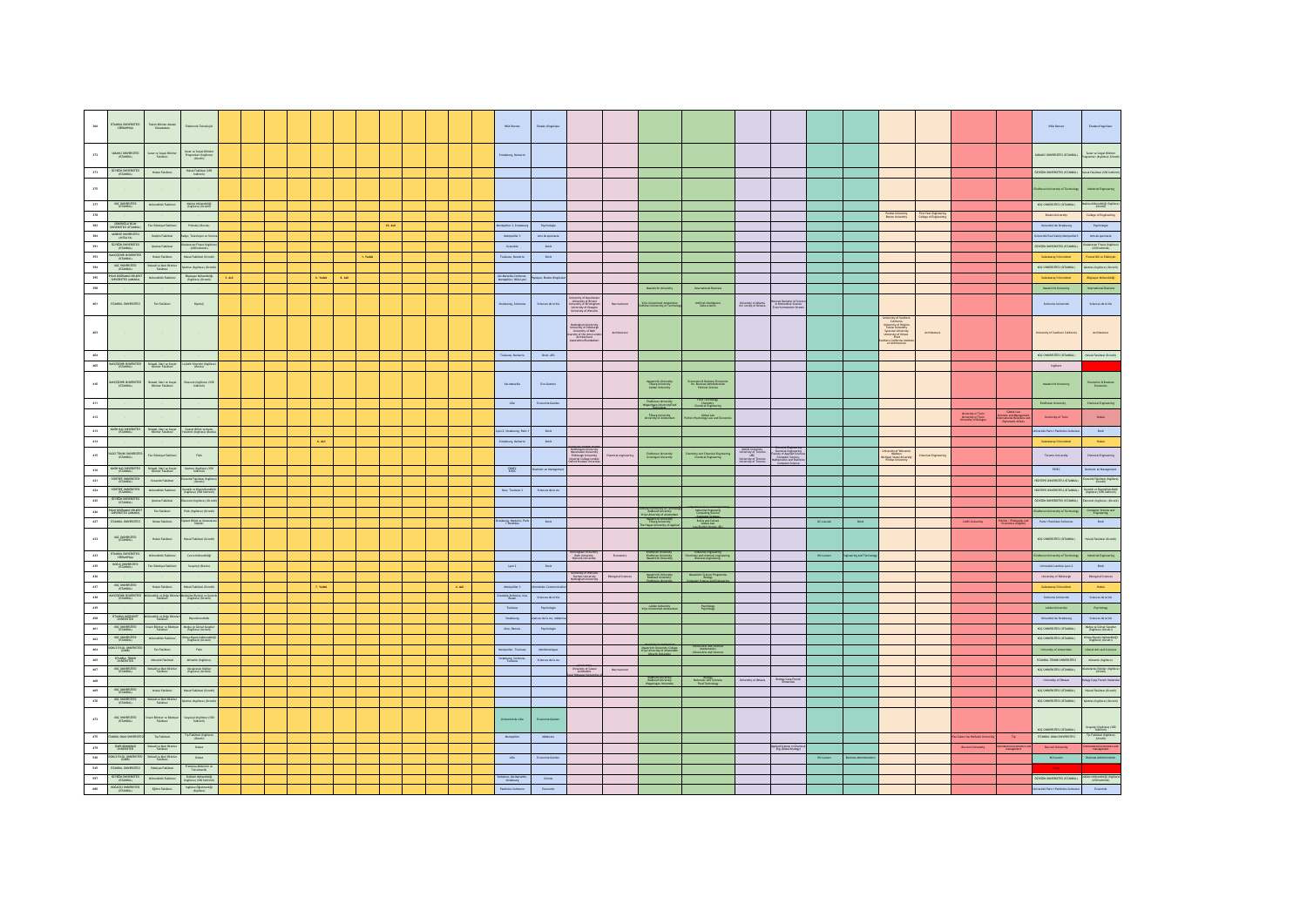| $166$                      | STANBUL ÜNIVERSTESİ<br>CERRAHPAŞA                                                                                                                    | Teknik Bilimler Medek<br>Yüksekokulu                        | Elektronik Teknoloj                                                                                                                 |                         |  |                  |                      |          |               |  |              | INSA Renner                                      | <b>Dudos d'ing</b>                             |                                                                                                                                                |                               |                                                                                                                                                  |                                                                                                                                                       |                      |                                                                                                                                                                                                                                                                                                                                                                                            |                      |                                |                                                                                                                                                                                                              |                                                  |                                                                     |                                                                       |                                                 |                                                                                                                                                                                                                                                                                                                                                                                                       |
|----------------------------|------------------------------------------------------------------------------------------------------------------------------------------------------|-------------------------------------------------------------|-------------------------------------------------------------------------------------------------------------------------------------|-------------------------|--|------------------|----------------------|----------|---------------|--|--------------|--------------------------------------------------|------------------------------------------------|------------------------------------------------------------------------------------------------------------------------------------------------|-------------------------------|--------------------------------------------------------------------------------------------------------------------------------------------------|-------------------------------------------------------------------------------------------------------------------------------------------------------|----------------------|--------------------------------------------------------------------------------------------------------------------------------------------------------------------------------------------------------------------------------------------------------------------------------------------------------------------------------------------------------------------------------------------|----------------------|--------------------------------|--------------------------------------------------------------------------------------------------------------------------------------------------------------------------------------------------------------|--------------------------------------------------|---------------------------------------------------------------------|-----------------------------------------------------------------------|-------------------------------------------------|-------------------------------------------------------------------------------------------------------------------------------------------------------------------------------------------------------------------------------------------------------------------------------------------------------------------------------------------------------------------------------------------------------|
| $_{\rm 372}$               | Salasci DeVERSITES<br>(STANBUL)                                                                                                                      | aust ve Soqal Bilimlər<br>Fakültəsi                         | Sanat ve Sosyal Bilimin<br>Programlan (Ingilizce)<br>(Goveti)                                                                       |                         |  |                  |                      |          |               |  |              | rations, Nater                                   |                                                |                                                                                                                                                |                               |                                                                                                                                                  |                                                                                                                                                       |                      |                                                                                                                                                                                                                                                                                                                                                                                            |                      |                                |                                                                                                                                                                                                              |                                                  |                                                                     |                                                                       |                                                 | <b>Sanat ve Sosyal Bitimler</b><br>ograniları (İngilizce) (Öcre                                                                                                                                                                                                                                                                                                                                       |
| 373                        | OZYEĞN ÜNIVERSITE<br>(STANBUL)                                                                                                                       | Hukuk Fakültesi                                             | Hukuk Fakültesi (150<br>Indirimli)                                                                                                  |                         |  |                  |                      |          |               |  |              |                                                  |                                                |                                                                                                                                                |                               |                                                                                                                                                  |                                                                                                                                                       |                      |                                                                                                                                                                                                                                                                                                                                                                                            |                      |                                |                                                                                                                                                                                                              |                                                  |                                                                     |                                                                       | GOVERN GHERRITES (AMMATI) AMAR PARTIES (150 MB) |                                                                                                                                                                                                                                                                                                                                                                                                       |
| $_{175}$                   |                                                                                                                                                      |                                                             |                                                                                                                                     |                         |  |                  |                      |          |               |  |              |                                                  |                                                |                                                                                                                                                |                               |                                                                                                                                                  |                                                                                                                                                       |                      |                                                                                                                                                                                                                                                                                                                                                                                            |                      |                                |                                                                                                                                                                                                              |                                                  |                                                                     |                                                                       |                                                 |                                                                                                                                                                                                                                                                                                                                                                                                       |
| $_{\rm 377}$               | KOÇ ÜNİVERSİTESİ<br>(STANBUL)                                                                                                                        | <b>Nihendisik Fakültesi</b>                                 | Makine Mühendisliği<br>(İngilizce) (ücreti)                                                                                         |                         |  |                  |                      |          |               |  |              |                                                  |                                                |                                                                                                                                                |                               |                                                                                                                                                  |                                                                                                                                                       |                      |                                                                                                                                                                                                                                                                                                                                                                                            |                      |                                |                                                                                                                                                                                                              |                                                  |                                                                     |                                                                       | KDÇ ÜNIVERSİTESI (İSTANBUL)                     | Mátine Mihendistiği (İngiliz<br>(Gareti)                                                                                                                                                                                                                                                                                                                                                              |
| 378                        |                                                                                                                                                      |                                                             |                                                                                                                                     |                         |  |                  |                      |          |               |  |              |                                                  |                                                |                                                                                                                                                |                               |                                                                                                                                                  |                                                                                                                                                       |                      |                                                                                                                                                                                                                                                                                                                                                                                            |                      |                                | Purclue University<br>Boxton University                                                                                                                                                                      | First Year Engineering<br>College of Engineering |                                                                     |                                                                       | Boston University                               | <b>College of Engineering</b>                                                                                                                                                                                                                                                                                                                                                                         |
| $_{\rm 382}$               | DEMIROČIU BILIM<br>DIVERSITESI (STANBEL)                                                                                                             | Fes-Edebiyat Fakültesi                                      | -<br>Pokoloji (Burtiu)                                                                                                              |                         |  |                  |                      |          | $\dot{m}$ and |  |              | speller 1, Stradourg                             | $\bar{p}_{ij}$ chaingia                        |                                                                                                                                                |                               |                                                                                                                                                  |                                                                                                                                                       |                      |                                                                                                                                                                                                                                                                                                                                                                                            |                      |                                |                                                                                                                                                                                                              |                                                  |                                                                     |                                                                       | Université de Stradourg                         | $\mu_{\rm{p}choigia}$                                                                                                                                                                                                                                                                                                                                                                                 |
| 384                        | $\begin{array}{c} \text{AMDOL} \text{ DMDISTISI}\\ \text{AMDOL} \end{array}$                                                                         | Betign Fakütesi                                             | .<br>Radyo, Televizyon ve S                                                                                                         |                         |  |                  |                      |          |               |  |              | Mantpelier 3                                     | Arts du spectac                                |                                                                                                                                                |                               |                                                                                                                                                  |                                                                                                                                                       |                      |                                                                                                                                                                                                                                                                                                                                                                                            |                      |                                |                                                                                                                                                                                                              |                                                  |                                                                     |                                                                       | ersité Paul Valéry Mon                          | Arts du spectacio                                                                                                                                                                                                                                                                                                                                                                                     |
| 391                        | OZYEČN ÚNIVERSTESÍ                                                                                                                                   | lpietrae Fakültesi $\,$                                     | Uluslaracso Finans (Inglis<br>(150 Indirimi)                                                                                        |                         |  |                  |                      |          |               |  |              | $Genable$                                        | $_{\rm{brot}}$                                 |                                                                                                                                                |                               |                                                                                                                                                  |                                                                                                                                                       |                      |                                                                                                                                                                                                                                                                                                                                                                                            |                      |                                |                                                                                                                                                                                                              |                                                  |                                                                     |                                                                       | BAATZI) izzītistzvini māzva                     | Ukslararan Finans (Ingiliz)<br>(150 Indirimi)                                                                                                                                                                                                                                                                                                                                                         |
| 193                        | <b>BACCSDER DENSES</b><br>(STANBLL)                                                                                                                  | Huluk Fakülteri                                             | <b>Hukuk Fakültesi (ücreti</b>                                                                                                      |                         |  |                  |                      | 1. Yedek |               |  |              | Toulouse, Nanteme                                | Droit                                          |                                                                                                                                                |                               |                                                                                                                                                  |                                                                                                                                                       |                      |                                                                                                                                                                                                                                                                                                                                                                                            |                      |                                |                                                                                                                                                                                                              |                                                  |                                                                     |                                                                       | Coloradory Delversited                          | France Dill ve Edebly                                                                                                                                                                                                                                                                                                                                                                                 |
| 394                        | KOÇ ÜNİVERSİTESİ<br>(STANBUL)                                                                                                                        | icisadi ve İdari Bilimler<br>Fakültesi                      | esne (inglizce) (üce                                                                                                                |                         |  |                  |                      |          |               |  |              |                                                  |                                                |                                                                                                                                                |                               |                                                                                                                                                  |                                                                                                                                                       |                      |                                                                                                                                                                                                                                                                                                                                                                                            |                      |                                |                                                                                                                                                                                                              |                                                  |                                                                     |                                                                       | KOÇ DANEKSİTESİ (İSTANBUL)                      | Isletme (ingliace) (Dow                                                                                                                                                                                                                                                                                                                                                                               |
| $_{\rm 105}$               | .<br>Senai izanači<br>Senai izanaj                                                                                                                   | <b>Mihendick Fakütusi</b>                                   | Bigisayar Mühendisiği<br>(İngilizce) (Öcreti)                                                                                       | $\mathbf{1},\mathbf{m}$ |  | KYede:           | $\sim$ 6.40 $^\circ$ |          |               |  |              | Aix-Maturille,Sorbonne,<br>Montpelier, INSA Lyon | ytique, Études d'ingér                         |                                                                                                                                                |                               |                                                                                                                                                  |                                                                                                                                                       |                      |                                                                                                                                                                                                                                                                                                                                                                                            |                      |                                |                                                                                                                                                                                                              |                                                  |                                                                     |                                                                       | <b>Colorading Direction</b>                     | <b>Biginyar Mihendisiği</b>                                                                                                                                                                                                                                                                                                                                                                           |
| 398                        |                                                                                                                                                      |                                                             |                                                                                                                                     |                         |  |                  |                      |          |               |  |              |                                                  |                                                |                                                                                                                                                |                               | Maatricht University                                                                                                                             | International Business                                                                                                                                |                      |                                                                                                                                                                                                                                                                                                                                                                                            |                      |                                |                                                                                                                                                                                                              |                                                  |                                                                     |                                                                       | Maastricht University                           | <b>International Business</b>                                                                                                                                                                                                                                                                                                                                                                         |
| 401                        | STANBUL DIRVERSITES                                                                                                                                  | Fes Fakützesi                                               | <b>Bysing</b>                                                                                                                       |                         |  |                  |                      |          |               |  |              | <b>Stratbourg, Sarbonne</b>                      | Sciences de la Vie                             | University of Hanchester<br>University of Bristol<br>University of Bristol<br>University of Glasgow<br>University of Warwick                   | Neuroscience                  | Vrije Universiteit Amsterdam<br>dhoven University of Technolo                                                                                    | Artifical Intelligence<br>Data science                                                                                                                |                      | University of Alberta Monours Bachelor of Science<br>University of Ottawa Renoch Immersion Stream                                                                                                                                                                                                                                                                                          |                      |                                |                                                                                                                                                                                                              |                                                  |                                                                     |                                                                       | Sarbonne Université                             | $\label{eq:1} \text{SCHICER} \; \text{d} \bar{\text{d}} \; \text{d} \bar{\text{d}} \; \text{d} \bar{\text{d}} \; \text{d} \; \text{d} \; \text{d} \; \text{d} \; \text{d} \; \text{d} \; \text{d} \; \text{d} \; \text{d} \; \text{d} \; \text{d} \; \text{d} \; \text{d} \; \text{d} \; \text{d} \; \text{d} \; \text{d} \; \text{d} \; \text{d} \; \text{d} \; \text{d} \; \text{d} \; \text{d} \;$ |
| $403\,$                    |                                                                                                                                                      |                                                             |                                                                                                                                     |                         |  |                  |                      |          |               |  |              |                                                  |                                                | Nuttingham University<br>University of Edinburgh<br>University of Bath<br>Ventity of the Article<br>AutobiocyFoundation<br>AutobiocyFoundation | Architecture                  |                                                                                                                                                  |                                                                                                                                                       |                      |                                                                                                                                                                                                                                                                                                                                                                                            |                      |                                | University of Southern<br>California<br>University of Virginia<br>Taison University<br>Syncouse University<br>University of Binonia<br>Pour<br>Athern California insti<br>of Architecture<br>of Architecture | Architecture                                     |                                                                     |                                                                       | Iniversity of Southern Californi                | Architecture                                                                                                                                                                                                                                                                                                                                                                                          |
|                            |                                                                                                                                                      |                                                             |                                                                                                                                     |                         |  |                  |                      |          |               |  |              |                                                  |                                                |                                                                                                                                                |                               |                                                                                                                                                  |                                                                                                                                                       |                      |                                                                                                                                                                                                                                                                                                                                                                                            |                      |                                |                                                                                                                                                                                                              |                                                  |                                                                     |                                                                       |                                                 |                                                                                                                                                                                                                                                                                                                                                                                                       |
|                            |                                                                                                                                                      |                                                             |                                                                                                                                     |                         |  |                  |                      |          |               |  |              | Toulouse, Natione                                | Droit, AES                                     |                                                                                                                                                |                               |                                                                                                                                                  |                                                                                                                                                       |                      |                                                                                                                                                                                                                                                                                                                                                                                            |                      |                                |                                                                                                                                                                                                              |                                                  |                                                                     |                                                                       | KDÇ ÜNIVERSITESI (İSTANBUL)                     | Hukuk Fakütani (Doret                                                                                                                                                                                                                                                                                                                                                                                 |
| $405$                      | <b>BANCESDAR DANSKSTESI</b>                                                                                                                          | Britadi, İdari ve Soqul<br>Bilimler Fakülteri               | jistik Yänetimi (İngiliz:<br>(Rurski)                                                                                               |                         |  |                  |                      |          |               |  |              |                                                  |                                                |                                                                                                                                                |                               |                                                                                                                                                  |                                                                                                                                                       |                      |                                                                                                                                                                                                                                                                                                                                                                                            |                      |                                |                                                                                                                                                                                                              |                                                  |                                                                     |                                                                       | Inglass                                         |                                                                                                                                                                                                                                                                                                                                                                                                       |
| 410                        | <b>BAFCESDER DENERSITES</b>                                                                                                                          | Brziaadi, İdari ve Soqual<br>Bilimler Fakültesi             | kanani (İngilizce) (150<br>İndinmi)                                                                                                 |                         |  |                  |                      |          |               |  |              | Air-Marwille                                     | Eco-Gestia                                     |                                                                                                                                                |                               | <b>Maastricht University<br/>Tilburg University<br/>Leides University</b>                                                                        | Conomics & Business Comon<br>Int. Business Administratio<br>Political Science                                                                         |                      |                                                                                                                                                                                                                                                                                                                                                                                            |                      |                                |                                                                                                                                                                                                              |                                                  |                                                                     |                                                                       |                                                 | <b>Economics &amp; Business</b><br><b>Economics</b>                                                                                                                                                                                                                                                                                                                                                   |
| $\bullet$                  |                                                                                                                                                      |                                                             |                                                                                                                                     |                         |  |                  |                      |          |               |  |              | Lilb                                             | Economie Gestion                               |                                                                                                                                                |                               | Endhown University<br>Wageningen UniversityFacd                                                                                                  | Food Technology<br>Chemistry<br>Chemical Engineers                                                                                                    |                      |                                                                                                                                                                                                                                                                                                                                                                                            |                      |                                |                                                                                                                                                                                                              |                                                  |                                                                     |                                                                       | Eindhown University                             | <b>Chemical Engineerin</b>                                                                                                                                                                                                                                                                                                                                                                            |
| 412                        |                                                                                                                                                      |                                                             |                                                                                                                                     |                         |  |                  |                      |          |               |  |              |                                                  |                                                |                                                                                                                                                |                               | Tiburg University<br>University of Ameredam                                                                                                      | Gobal Law<br>Psychology Law and                                                                                                                       |                      |                                                                                                                                                                                                                                                                                                                                                                                            |                      |                                |                                                                                                                                                                                                              |                                                  | University of Turin<br>University of Turin<br>University of Balagna | Gisbal Law<br>est and Manager<br>usional Relation<br>solometr Affairs | University of Turin                             | $_{\rm max}$                                                                                                                                                                                                                                                                                                                                                                                          |
|                            |                                                                                                                                                      |                                                             |                                                                                                                                     |                         |  |                  |                      |          |               |  |              |                                                  |                                                |                                                                                                                                                |                               |                                                                                                                                                  |                                                                                                                                                       |                      |                                                                                                                                                                                                                                                                                                                                                                                            |                      |                                |                                                                                                                                                                                                              |                                                  |                                                                     |                                                                       |                                                 |                                                                                                                                                                                                                                                                                                                                                                                                       |
| 413                        | KADIR HAS ÜNIVERSITESI<br>(ISTANBUL)                                                                                                                 | Isticadi, İdari ve Soquil<br>Bilimler Fakültesi             | Siyaurt Bilimi ve Kamu<br>Yönetimi (İngilisce) (Rursk                                                                               |                         |  |                  |                      |          |               |  |              | yon 2, Strasbourg, Park:                         | Droit                                          |                                                                                                                                                |                               |                                                                                                                                                  |                                                                                                                                                       |                      |                                                                                                                                                                                                                                                                                                                                                                                            |                      |                                |                                                                                                                                                                                                              |                                                  |                                                                     |                                                                       | ité Paris 1 Panthéon So                         | <b>Droit</b>                                                                                                                                                                                                                                                                                                                                                                                          |
| $\bullet\bullet$           |                                                                                                                                                      |                                                             |                                                                                                                                     |                         |  | $\mathbf{c}$ and |                      |          |               |  |              | <b>Stratbourg</b> , Nationne                     | $_{\rm{brot}}$                                 |                                                                                                                                                |                               |                                                                                                                                                  |                                                                                                                                                       |                      |                                                                                                                                                                                                                                                                                                                                                                                            |                      |                                |                                                                                                                                                                                                              |                                                  |                                                                     |                                                                       | <b>Colorading Diriversite</b>                   | $_{\rm max}$                                                                                                                                                                                                                                                                                                                                                                                          |
| 415                        | YLDI2 TERRIK ENVERS<br>(STARGL)                                                                                                                      | is-Edebiyat Fa                                              | $_{\rm FdR}$                                                                                                                        |                         |  |                  |                      |          |               |  |              |                                                  |                                                | Nurchingam University<br>Manchester University<br>Edinburgh University<br>Imperial College Landon<br>Oxford Brooker University                 | emical engineering            | Endhoven University<br>Graningen University                                                                                                      | enizzy and Chemical Engineeri<br>Chemical Engineering                                                                                                 |                      | $\begin{tabular}{l c c c} \textbf{McGill University} & \textbf{Coercal Engineering} \\ \textbf{University of Fourier} & \textbf{Coercial Engineering} \\ \textbf{UWworty of Tomots} & \textbf{Scality of Laplace Science} \\ \textbf{University of Tomots} & \textbf{Mamots and Consider} \\ \textbf{UWworty of Tomots} & \textbf{Gamots} \\ \textbf{Camcupary of Gauss} \\ \end{tabular}$ |                      |                                | University of Wisconsi<br>Madison<br>Michigan State University<br>Purdue University                                                                                                                          | hemical Engineering                              |                                                                     |                                                                       | Toronto University                              | <b>Chemical Engineering</b>                                                                                                                                                                                                                                                                                                                                                                           |
| 416                        | KADIR HAS ONVERSITE                                                                                                                                  | <b>Isticadi, İdari ve Soquil</b><br>Bilimler Fakültesi      | Idetme (Ingilizce) (150                                                                                                             |                         |  |                  |                      |          |               |  |              | $\frac{\text{CDMGC}}{\text{ESGEC}}$              | <b>Bachelar</b> en Managem                     |                                                                                                                                                |                               |                                                                                                                                                  |                                                                                                                                                       |                      |                                                                                                                                                                                                                                                                                                                                                                                            |                      |                                |                                                                                                                                                                                                              |                                                  |                                                                     |                                                                       | essec                                           | <b>Eachelar en Managemen</b>                                                                                                                                                                                                                                                                                                                                                                          |
| $\alpha$                   | <b>YESITEPE ENVERSITE</b>                                                                                                                            | <b>ECENCER FANGINAL</b>                                     | ucák Fakütesi (Ingil)<br>(Koreti)                                                                                                   |                         |  |                  |                      |          |               |  |              |                                                  |                                                |                                                                                                                                                |                               |                                                                                                                                                  |                                                                                                                                                       |                      |                                                                                                                                                                                                                                                                                                                                                                                            |                      |                                |                                                                                                                                                                                                              |                                                  |                                                                     |                                                                       | LINE DAVERSITES) (STAND                         | Eczaciak Fakültesi (legiliz)                                                                                                                                                                                                                                                                                                                                                                          |
| $424\,$                    | COTTPE GAVERST                                                                                                                                       | <b>Nühendicik Fakültesi</b>                                 |                                                                                                                                     |                         |  |                  |                      |          |               |  |              | Nice, Taulouse 3                                 | Sciences de la vie                             |                                                                                                                                                |                               |                                                                                                                                                  |                                                                                                                                                       |                      |                                                                                                                                                                                                                                                                                                                                                                                            |                      |                                |                                                                                                                                                                                                              |                                                  |                                                                     |                                                                       | EDITOR DAVERSITES) (STANDA                      | Cenetik ve Biyomühendisi<br>(İngilizce) (150 İndirimli)                                                                                                                                                                                                                                                                                                                                               |
| $_{\alpha}$                | OZYEĞN ÜNIVERSITESI<br>(STANBUL)                                                                                                                     | Igletme Fakülter                                            | .<br>Genetik ve Biyomühəndisi<br>(İngilizcə) (150 İndirimli<br>ni (inglizce) (                                                      |                         |  |                  |                      |          |               |  |              |                                                  |                                                |                                                                                                                                                |                               |                                                                                                                                                  |                                                                                                                                                       |                      |                                                                                                                                                                                                                                                                                                                                                                                            |                      |                                |                                                                                                                                                                                                              |                                                  |                                                                     |                                                                       |                                                 | nami (İngilizce) (Don                                                                                                                                                                                                                                                                                                                                                                                 |
| $_{\rm 426}$               | <b>MANDOGAMACI BRAS</b>                                                                                                                              | Fes Fakülteri                                               | Fizik (inglizze) (Gore                                                                                                              |                         |  |                  |                      |          |               |  |              |                                                  |                                                |                                                                                                                                                |                               |                                                                                                                                                  |                                                                                                                                                       |                      |                                                                                                                                                                                                                                                                                                                                                                                            |                      |                                |                                                                                                                                                                                                              |                                                  |                                                                     |                                                                       |                                                 | Computer Science and<br>Engineering                                                                                                                                                                                                                                                                                                                                                                   |
| a2                         | TANBUL DINVERSITES                                                                                                                                   | $\operatorname{bcine}$ faidhea                              | iyaset iki ini ve Ukota<br>Ilipider                                                                                                 |                         |  |                  |                      |          |               |  |              | dourg, Nattern, Park<br>1 Parthics               | $_{\rm{brot}}$                                 |                                                                                                                                                |                               | chown University of Technology<br>Radboud University<br>Nilje University of Amatecdam<br>Raamicht University<br>The Hasse University of Assisted | Industrial Engineerig<br>Computing Science<br>Gorgonal Line<br>Goddal Line<br>Contact Screen official                                                 |                      |                                                                                                                                                                                                                                                                                                                                                                                            | $\upsilon$ C Louvain | $0<\epsilon$                   |                                                                                                                                                                                                              |                                                  | $\,$ LUSS Deleroity $\,$                                            | Politics : Philosophy and<br>Economics (English)                      | Paris 1 Parthies Softone                        | $0<\epsilon$                                                                                                                                                                                                                                                                                                                                                                                          |
|                            |                                                                                                                                                      |                                                             |                                                                                                                                     |                         |  |                  |                      |          |               |  |              |                                                  |                                                |                                                                                                                                                |                               |                                                                                                                                                  |                                                                                                                                                       |                      |                                                                                                                                                                                                                                                                                                                                                                                            |                      |                                |                                                                                                                                                                                                              |                                                  |                                                                     |                                                                       |                                                 |                                                                                                                                                                                                                                                                                                                                                                                                       |
| $432\,$                    | $\text{NOC}$ (index<br>STANBLE)                                                                                                                      | Hukuk Fakülted                                              | ukuk Fakülterd (Gcret                                                                                                               |                         |  |                  |                      |          |               |  |              |                                                  |                                                |                                                                                                                                                |                               |                                                                                                                                                  |                                                                                                                                                       |                      |                                                                                                                                                                                                                                                                                                                                                                                            |                      |                                |                                                                                                                                                                                                              |                                                  |                                                                     |                                                                       | KOÇ ÜNIVERSİTESI (İSTANBUL)                     | <b>Malak Fakültesi (Dore</b>                                                                                                                                                                                                                                                                                                                                                                          |
| $_{\rm 43}$<br>$_{\rm 45}$ | <b>STANDLE UNIVERSITE</b>                                                                                                                            | <b>Nühendisik Fakültesi</b><br>.<br>Fen-Edebiyat Fakülterci | $\ensuremath{\mathsf{Gerr}}\xspace$ Milteration $\ensuremath{\mathsf{Q}}\xspace$                                                    |                         |  |                  |                      |          |               |  |              | $-1$ pos 2                                       | ${\color{blue}\text{bvolt}}$                   | Birmingham University<br>Bash University<br>Warwick University                                                                                 | $\textbf{E} \text{conformal}$ | Endhoves University<br>Endhoves University<br>Maastricht University                                                                              | $\label{eq:main} The particular algebraic operator $$ \texttt{Chemical} \end{math} $$ \texttt{Dymotopy} $$ \texttt{Dymotopy} $$ \texttt{Dymotopy} $$$ |                      |                                                                                                                                                                                                                                                                                                                                                                                            | <b>Killeyen</b>      | <b>Engineering and Technol</b> |                                                                                                                                                                                                              |                                                  |                                                                     |                                                                       | Indhaven University of Technolo                 | Industrial Engineering<br>$\Delta m$                                                                                                                                                                                                                                                                                                                                                                  |
|                            | DOČUS DEVERSITESI<br>(STANBUL)                                                                                                                       |                                                             | -<br>Sonyoloji (Burdu)                                                                                                              |                         |  |                  |                      |          |               |  |              |                                                  |                                                |                                                                                                                                                |                               |                                                                                                                                                  |                                                                                                                                                       |                      |                                                                                                                                                                                                                                                                                                                                                                                            |                      |                                |                                                                                                                                                                                                              |                                                  |                                                                     |                                                                       | Université Lumière Lyon 2                       |                                                                                                                                                                                                                                                                                                                                                                                                       |
| $_{\alpha}$                |                                                                                                                                                      |                                                             |                                                                                                                                     |                         |  |                  |                      |          |               |  |              |                                                  |                                                | University of Warwick<br>Durham University<br>Nortingham University                                                                            | Biological Sciences           | <b>Manufich University</b><br>Radboud University                                                                                                 | <b>Rasericht Science Program</b><br>Biology                                                                                                           |                      |                                                                                                                                                                                                                                                                                                                                                                                            |                      |                                |                                                                                                                                                                                                              |                                                  |                                                                     |                                                                       | University of Edinburgh                         | Buingical Sciences                                                                                                                                                                                                                                                                                                                                                                                    |
| $427\,$                    | $\begin{array}{r} \tt \color{red}{\mathit{NOG}} \tt \color{red}{\mathit{CoWBSING}} \\ \tt \color{red}{\color{green}{\mathit{(STaSML)}}} \end{array}$ | Hukuk Fakülterd                                             | <b>Hukuk Fakültesi (ücreti</b>                                                                                                      |                         |  | 7. Yedek         |                      |          |               |  | $\kappa$ and | $\,$ Mantpelier $\,$ $\,$                        | nation Commun                                  |                                                                                                                                                |                               |                                                                                                                                                  |                                                                                                                                                       |                      |                                                                                                                                                                                                                                                                                                                                                                                            |                      |                                |                                                                                                                                                                                                              |                                                  |                                                                     |                                                                       | <b>Colorading Oniversities</b>                  | $\langle$ mask $\rangle$                                                                                                                                                                                                                                                                                                                                                                              |
| $_{\rm cm}$<br>$_{49}$     | $\begin{array}{c} \text{EMCGSDER DRIMESTE}\\ \text{(STASUL)} \end{array}$                                                                            | editik ve Doğa Etimleri<br>Fakiltesi                        | Kaiakūler Biyoloji ve Gene<br>(İngilizce) (Ücreti)                                                                                  |                         |  |                  |                      |          |               |  |              | enable,Sarbonne, Insa<br>Rowen<br>Toulouse       | Sciences de la Vie                             |                                                                                                                                                |                               | Leides University<br>Inje Universiteit Amsterdam                                                                                                 |                                                                                                                                                       |                      |                                                                                                                                                                                                                                                                                                                                                                                            |                      |                                |                                                                                                                                                                                                              |                                                  |                                                                     |                                                                       | Sarbonne Université                             | $\label{eq:1} \text{Sokercents} \text{ is the case that } \text{V} \text{ is }$                                                                                                                                                                                                                                                                                                                       |
| $_{\rm css}$               | <b>ISTANBUL ACCENTITY</b>                                                                                                                            | didik və Doğa Bilimin<br>Fakültəsi                          | <b>Byomiherdisk</b>                                                                                                                 |                         |  |                  |                      |          |               |  |              | Stadoung                                         | $\mathfrak{p}_0$ chaingia<br>ces de la vie, mi |                                                                                                                                                |                               |                                                                                                                                                  | $\frac{p_{ij}choly}{p_{ij}choly}$                                                                                                                     |                      |                                                                                                                                                                                                                                                                                                                                                                                            |                      |                                |                                                                                                                                                                                                              |                                                  |                                                                     |                                                                       | Leiden University<br>Université de Stradourg    | $\mathsf{Pycholog}_\ell$<br>Sciences de la Vie                                                                                                                                                                                                                                                                                                                                                        |
| 441                        | $\text{NOC}_i$ (industriality)                                                                                                                       |                                                             | ani Bilimlər və Edebiyat - Medya və Gürsel Sanatlı<br>Fakültəsi - (İngilizce) (Öcretli)                                             |                         |  |                  |                      |          |               |  |              | Nice, Rennes                                     | Psychologie                                    |                                                                                                                                                |                               |                                                                                                                                                  |                                                                                                                                                       |                      |                                                                                                                                                                                                                                                                                                                                                                                            |                      |                                |                                                                                                                                                                                                              |                                                  |                                                                     |                                                                       | KOÇ ÜNIVERSİTESI (İSTANBUL)                     | Medya ve Görsel Sanaria<br>(Ingilizor) (Dovrdi)                                                                                                                                                                                                                                                                                                                                                       |
| $_{442}$                   |                                                                                                                                                      | Chendicik Fakültesi                                         | linya Biyoloji Mihendi<br>(İngilizce) (ücreti)                                                                                      |                         |  |                  |                      |          |               |  |              |                                                  |                                                |                                                                                                                                                |                               |                                                                                                                                                  |                                                                                                                                                       |                      |                                                                                                                                                                                                                                                                                                                                                                                            |                      |                                |                                                                                                                                                                                                              |                                                  |                                                                     |                                                                       | KDÇ ÜNIVERSITESI (İSTANBUL)                     | Kimya-Biyoloji Mühendidi<br>(İngilizce) (Ücreti)                                                                                                                                                                                                                                                                                                                                                      |
| $\mathbf{a}\mathbf{a}$     | DOALZ ENLIL DAVISS?                                                                                                                                  | Fes Fakilteri                                               | $_{\rm FIR}$                                                                                                                        |                         |  |                  |                      |          |               |  |              | torspellier, Toulouse                            | Mathématiques                                  |                                                                                                                                                |                               | Mastrick University College<br>Wile University of Amsterdam                                                                                      | Liberal Arts and Scien<br>Hathematics<br>Liberal Arts and Scien                                                                                       |                      |                                                                                                                                                                                                                                                                                                                                                                                            |                      |                                |                                                                                                                                                                                                              |                                                  |                                                                     |                                                                       | University of Ameterdam                         | Liberal Arts and Science                                                                                                                                                                                                                                                                                                                                                                              |
| 465                        | ISTANBUL TEKNIK<br>ENIMEKSITESI                                                                                                                      | Mimarisk Fakülterd                                          | Mimariak (Ingilizon                                                                                                                 |                         |  |                  |                      |          |               |  |              | Stratbourg, Sarbanne,<br>Taulouse                | Sciences de la vie                             |                                                                                                                                                |                               |                                                                                                                                                  |                                                                                                                                                       |                      |                                                                                                                                                                                                                                                                                                                                                                                            |                      |                                |                                                                                                                                                                                                              |                                                  |                                                                     |                                                                       | <b>ISTANBUL TENNIK ENIMERSITES</b>              | Minatik (ligilizce)                                                                                                                                                                                                                                                                                                                                                                                   |
| $467$                      | KOÇ ÜNİVERSİTESİ<br>(İSTANBUL)                                                                                                                       | icisadi ve İdari Bilinler<br>Fakültesi                      |                                                                                                                                     |                         |  |                  |                      |          |               |  |              |                                                  |                                                |                                                                                                                                                | $\hbox{\tt Neunicience}$      |                                                                                                                                                  |                                                                                                                                                       |                      |                                                                                                                                                                                                                                                                                                                                                                                            |                      |                                |                                                                                                                                                                                                              |                                                  |                                                                     |                                                                       | $\texttt{KDC}$ Delversittes (STANDL)            |                                                                                                                                                                                                                                                                                                                                                                                                       |
| $^{44}$                    |                                                                                                                                                      |                                                             | Liudararao lipider<br>(Ingliace) (Gcreti)                                                                                           |                         |  |                  |                      |          |               |  |              |                                                  |                                                | University of Sumes                                                                                                                            |                               | Factboad University<br>Factboad University<br>Wageningen University                                                                              | Eiclogy<br>Maiscadar Life Sciences<br>Food Technology                                                                                                 | University of Ottawa | $\begin{array}{c} \text{Biology Cap French} \\ \text{innerian} \end{array}$                                                                                                                                                                                                                                                                                                                |                      |                                |                                                                                                                                                                                                              |                                                  |                                                                     |                                                                       | University of Ottawa                            | Liudarano lipider (ingiliz<br>(Govdi)<br><b>Luingy Coop French Imme</b>                                                                                                                                                                                                                                                                                                                               |
| $469$                      | KOÇ ÜNİNERSITESI<br>(STANBUL)                                                                                                                        | $\operatorname{Hukak}$ Fakilteri                            | <b>Hukuk Fakültesi (ücreti</b>                                                                                                      |                         |  |                  |                      |          |               |  |              |                                                  |                                                |                                                                                                                                                |                               |                                                                                                                                                  |                                                                                                                                                       |                      |                                                                                                                                                                                                                                                                                                                                                                                            |                      |                                |                                                                                                                                                                                                              |                                                  |                                                                     |                                                                       | KOÇ ÜNIVERSİTESI (İSTANBUL)                     | Hukuk Fakültesi (Doreti                                                                                                                                                                                                                                                                                                                                                                               |
| $470\,$                    | $\begin{array}{r} \tt \tt \color{red}{NOC} \end{array}$ (STANBLL)                                                                                    | icisadi ve İdari Bilimler<br>Fakültesi                      | Islama (Ingilizco) (Dcret                                                                                                           |                         |  |                  |                      |          |               |  |              |                                                  |                                                |                                                                                                                                                |                               |                                                                                                                                                  |                                                                                                                                                       |                      |                                                                                                                                                                                                                                                                                                                                                                                            |                      |                                |                                                                                                                                                                                                              |                                                  |                                                                     |                                                                       | KDC ENNITRS/TESI (ISTANBUL)                     | Isletne (inglizze) (Dore)                                                                                                                                                                                                                                                                                                                                                                             |
|                            |                                                                                                                                                      |                                                             |                                                                                                                                     |                         |  |                  |                      |          |               |  |              |                                                  |                                                |                                                                                                                                                |                               |                                                                                                                                                  |                                                                                                                                                       |                      |                                                                                                                                                                                                                                                                                                                                                                                            |                      |                                |                                                                                                                                                                                                              |                                                  |                                                                     |                                                                       |                                                 |                                                                                                                                                                                                                                                                                                                                                                                                       |
| 472                        | $\text{NOC}$ (index<br>SCENDLE)                                                                                                                      | ei Bilinier ve Edebiya<br>Fakültesi                         | sysisti (ingilizce) (h)<br>Indinmii)                                                                                                |                         |  |                  |                      |          |               |  |              | Université de Libr                               | Economie Gesti                                 |                                                                                                                                                |                               |                                                                                                                                                  |                                                                                                                                                       |                      |                                                                                                                                                                                                                                                                                                                                                                                            |                      |                                |                                                                                                                                                                                                              |                                                  |                                                                     |                                                                       | KOÇ ÜNIVERSITESI (İSTANBUL)                     | Sequing (logitoce) (15<br>(limite)                                                                                                                                                                                                                                                                                                                                                                    |
| $\sigma$                   | GUL CASH DING                                                                                                                                        | Tip Fakültesi                                               | $\begin{array}{c} \text{Top Fakilaci (logilizos)} \\ \text{(Qcveti)} \end{array}$                                                   |                         |  |                  |                      |          |               |  |              | $\label{eq:1} {\bf Morap} {\bf U}$               | ${\sf M}$ decise                               |                                                                                                                                                |                               |                                                                                                                                                  |                                                                                                                                                       |                      |                                                                                                                                                                                                                                                                                                                                                                                            |                      |                                |                                                                                                                                                                                                              |                                                  | .<br>Islute San Raffaele Univ                                       | $\tau_\Psi$                                                           |                                                 |                                                                                                                                                                                                                                                                                                                                                                                                       |
| $\sigma$                   | DAR DEMOKRASI                                                                                                                                        | icisadi ve İdari Bilimle<br>Fakültesi                       | <b>Below</b>                                                                                                                        |                         |  |                  |                      |          |               |  |              |                                                  |                                                |                                                                                                                                                |                               |                                                                                                                                                  |                                                                                                                                                       |                      | Applied Science in Chemica<br>Eng (Bistechnuingy)                                                                                                                                                                                                                                                                                                                                          |                      |                                |                                                                                                                                                                                                              |                                                  | - Bocconi University                                                | mational economic<br>management                                       | -<br>Bocconi University                         | <b><i><u>Printformal</u></i></b> expressions                                                                                                                                                                                                                                                                                                                                                          |
| 540                        | DOUZ DILL DAVE                                                                                                                                       | icisadi ve İdari Bilinis<br>Fakültesi                       | $_{\rm kmax}$                                                                                                                       |                         |  |                  |                      |          |               |  |              | Lilb                                             | Economie Gesti                                 |                                                                                                                                                |                               |                                                                                                                                                  |                                                                                                                                                       |                      |                                                                                                                                                                                                                                                                                                                                                                                            |                      |                                |                                                                                                                                                                                                              |                                                  |                                                                     |                                                                       | <b>KU Leuves</b>                                |                                                                                                                                                                                                                                                                                                                                                                                                       |
| $\mathfrak{so}^-$          | <b>STANDA DIVERSITES</b>                                                                                                                             | Edebiyat Fakültesi                                          | Francisca Mătercim ve<br>Tercümanlık                                                                                                |                         |  |                  |                      |          |               |  |              |                                                  |                                                |                                                                                                                                                |                               |                                                                                                                                                  |                                                                                                                                                       |                      |                                                                                                                                                                                                                                                                                                                                                                                            |                      |                                |                                                                                                                                                                                                              |                                                  |                                                                     |                                                                       |                                                 |                                                                                                                                                                                                                                                                                                                                                                                                       |
| 597                        | OZYEĞN ÜNIVERSTE<br>(STANBUL)                                                                                                                        | <b>Mihendick Fakütusi</b>                                   | Endiatri Mihendisiği<br>(İngilizce) (150 İndirinli                                                                                  |                         |  |                  |                      |          |               |  |              | rbonne, Aix-Marselli<br>Stradiourg               | Chimie                                         |                                                                                                                                                |                               |                                                                                                                                                  |                                                                                                                                                       |                      |                                                                                                                                                                                                                                                                                                                                                                                            |                      |                                |                                                                                                                                                                                                              |                                                  |                                                                     |                                                                       | LIBRATZI) izzmarzynyci vlázyst                  | dictri Mihorditilj (ogliza<br>(152 indicimi)<br>Economie                                                                                                                                                                                                                                                                                                                                              |
| $_{\rm 600}$               | ECGAZICI DEVERSITESI                                                                                                                                 | $\Omega$ is the function $\Gamma$                           | $\begin{array}{r} \begin{array}{c} \text{indimize } \text{Q}(\text{rot}) \text{ and } \\ \text{(inditive)} \end{array} \end{array}$ |                         |  |                  |                      |          |               |  |              | Panthéon Sorbonne                                | $\mbox{\texttt{I}}$                            |                                                                                                                                                |                               |                                                                                                                                                  |                                                                                                                                                       |                      |                                                                                                                                                                                                                                                                                                                                                                                            |                      |                                |                                                                                                                                                                                                              |                                                  |                                                                     |                                                                       | nivenzité Paris 1 Panthéon Sorbo                |                                                                                                                                                                                                                                                                                                                                                                                                       |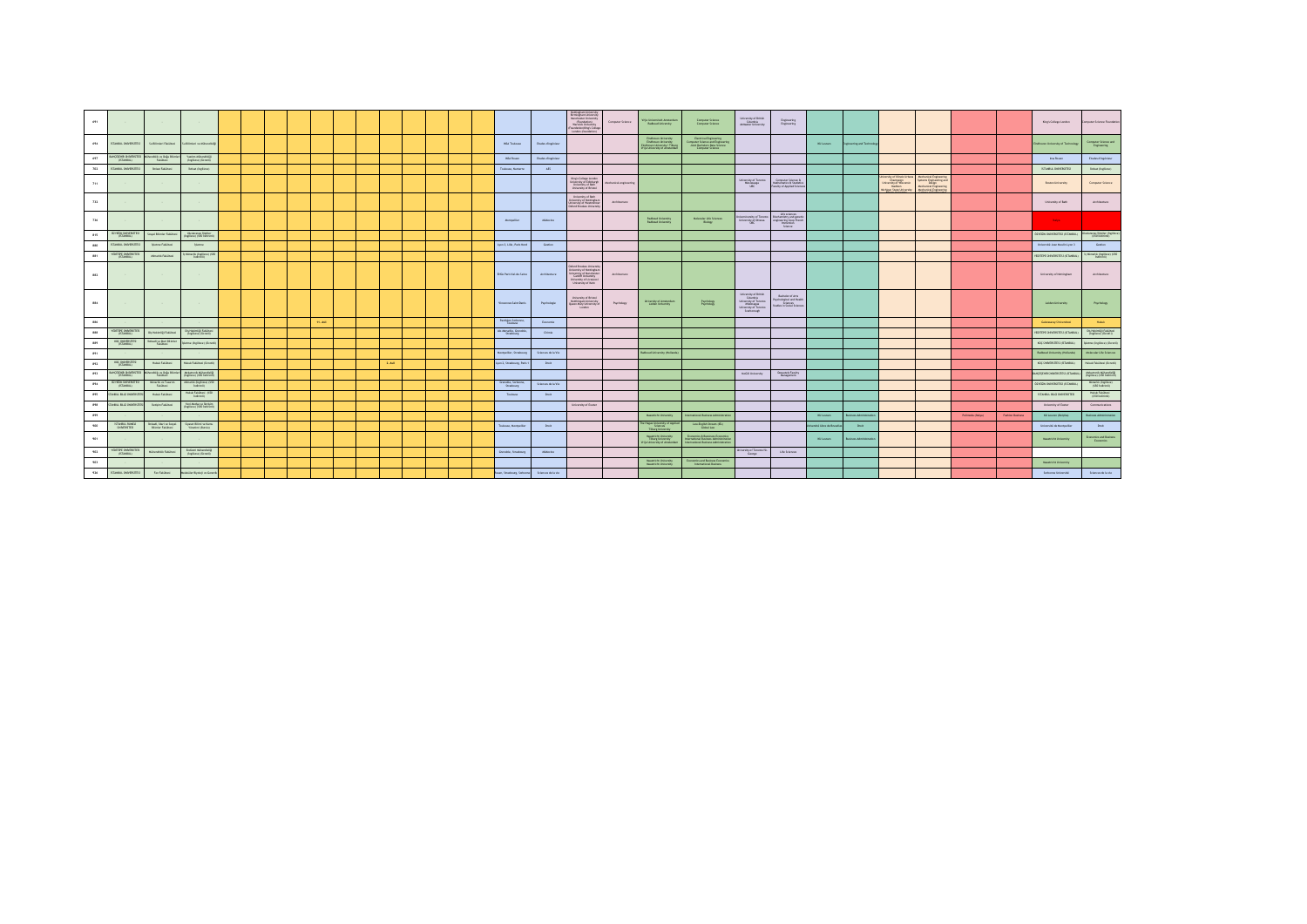| 691     |                                           | <b>Contract</b>                                                                                |  |  |         |  |        |  |                                     |                    | Nuttingham Universit<br>Birmingham University<br>(Foundation)<br>Marwick University<br>Foundation(King's College<br>London (foundation)           | Computer Science       | Vrije Universiteit Amsterdam<br>Radboud University                                   | Computer Science<br>Computer Science                                                                                                                                  | University of British<br>Columbia<br>McNactor University                                                                                                                                   | Engineering<br>Engineering                                                             |                      |                          |                                                                                                 |                                                                                                                 |                   |                         | King's College London             | Computer Science Foundation                                 |
|---------|-------------------------------------------|------------------------------------------------------------------------------------------------|--|--|---------|--|--------|--|-------------------------------------|--------------------|---------------------------------------------------------------------------------------------------------------------------------------------------|------------------------|--------------------------------------------------------------------------------------|-----------------------------------------------------------------------------------------------------------------------------------------------------------------------|--------------------------------------------------------------------------------------------------------------------------------------------------------------------------------------------|----------------------------------------------------------------------------------------|----------------------|--------------------------|-------------------------------------------------------------------------------------------------|-----------------------------------------------------------------------------------------------------------------|-------------------|-------------------------|-----------------------------------|-------------------------------------------------------------|
| 694     | ISTANBUL ONNERSITES                       | Su Billimleri Fakülteri<br>@bbnodia or installé ci                                             |  |  |         |  |        |  | INSA Toulouse                       | Etudes d'ingénieur |                                                                                                                                                   |                        | Endhaven University<br>Endhoven University / Tiburg<br>Vrije University of Amsterdam | $\begin{array}{c} \text{Bercrical Engineering} \\ \text{Compare Science and Engineering} \\ \text{linear factor: Data Science} \\ \text{Compare Science} \end{array}$ |                                                                                                                                                                                            |                                                                                        | <b>KULeven</b>       | Ingineering and Technolo |                                                                                                 |                                                                                                                 |                   |                         | Eindhoves University of Technolog | Computer Science and<br>Engineering                         |
| 697     | EMCESDER DENERSITES                       | vendislik və Doğa Bilimlər<br>Fakültəsi<br>Yazılım Mühendisiği<br>(İngilizce) (Goveti)         |  |  |         |  |        |  | INGA Round                          | Etudes d'ingénieur |                                                                                                                                                   |                        |                                                                                      |                                                                                                                                                                       |                                                                                                                                                                                            |                                                                                        |                      |                          |                                                                                                 |                                                                                                                 |                   |                         | Insa Rouen                        | Etades dinginieur                                           |
| 702     | ISTANBUL GHIVERSITES                      | <b>Issue Factors</b><br>listicat (Inglilaca)                                                   |  |  |         |  |        |  | Toulouse, Nanteme                   | -ars               |                                                                                                                                                   |                        |                                                                                      |                                                                                                                                                                       |                                                                                                                                                                                            |                                                                                        |                      |                          |                                                                                                 |                                                                                                                 |                   |                         | ISTANBUL ENVERSITES               | licitat (Ingliace)                                          |
| 711     |                                           |                                                                                                |  |  |         |  |        |  |                                     |                    | King's College London<br>University of Edinburgh<br>University of Bath<br>University of Bristol                                                   | Mechanical engineering |                                                                                      |                                                                                                                                                                       | $\begin{array}{c} \text{University of Torures} \\ \text{Minomagn} \\ \text{UC} \end{array}$                                                                                                | Computer Science &<br>Mathematics & Statistics<br>Faculty of Applied Science           |                      |                          | wrdty of Illinois Urbana<br>Champaign<br>Champaign<br><b>Rudkon</b><br>Michigan State Universit | Mechanical Engineering<br>Systems Engineering and<br>Design<br>Mechanical Engineering<br>Mechanical Engineering |                   |                         | Boston University                 | Computer Science                                            |
| 732     |                                           |                                                                                                |  |  |         |  |        |  |                                     |                    | University of Bath<br>Iniversity of Nottingham<br>University of Mesaningar<br>Oxford Brooker, University                                          | Architecture           |                                                                                      |                                                                                                                                                                       |                                                                                                                                                                                            |                                                                                        |                      |                          |                                                                                                 |                                                                                                                 |                   |                         | University of Eath                | Architecture                                                |
| 726     |                                           |                                                                                                |  |  |         |  |        |  | Montpellier                         | Midecine           |                                                                                                                                                   |                        | Radboud University<br>Radboud University                                             | Malegalar Life Sciences<br><b>Biology</b>                                                                                                                             | wentwentry of Toronto<br>University of Ottawa                                                                                                                                              | Life sciences<br>licchemistry and genetic<br>engineering Coop French<br>Science        |                      |                          |                                                                                                 |                                                                                                                 |                   |                         | <b>Balya</b>                      |                                                             |
| 815     | CONSIDA UNIVERSITES!<br>(STANDL)          | Ukatararag litekter<br>Gooyal Billimler Fakültesi<br>Ingliace) (350 Indirint                   |  |  |         |  |        |  |                                     |                    |                                                                                                                                                   |                        |                                                                                      |                                                                                                                                                                       |                                                                                                                                                                                            |                                                                                        |                      |                          |                                                                                                 |                                                                                                                 |                   |                         | CEYEĞIN ÜNIVERSİTESI (İSTANBUL)   | stannas lūdeler (Ingiliz<br>(150 lielinius)                 |
| 880     | <b>ISTANBUL ONIVERSITES</b>               | Idetme Fakültegi<br>Isletme                                                                    |  |  |         |  |        |  | Lyon 3, Lille, Paris Nord           | Gration            |                                                                                                                                                   |                        |                                                                                      |                                                                                                                                                                       |                                                                                                                                                                                            |                                                                                        |                      |                          |                                                                                                 |                                                                                                                 |                   |                         | Université Jean Moulin Lyon 3     | Gretian                                                     |
| 681     | YEDITEPE OVERSITES<br>(STANDL)            | c Minarisk (Ingilizce) (150<br>Indirimii)<br>Mimarisk Fakülterd                                |  |  |         |  |        |  |                                     |                    |                                                                                                                                                   |                        |                                                                                      |                                                                                                                                                                       |                                                                                                                                                                                            |                                                                                        |                      |                          |                                                                                                 |                                                                                                                 |                   |                         | YEDITEPE DAVERSITESI (ISTAMBEL)   | k; Mimariak (Ingilizar) (NS)                                |
| 882     |                                           | $\sim$ 10 $\pm$                                                                                |  |  |         |  |        |  | DiSA Paris Val-de-Seine             | Architecture       | dord Brookes Univers<br>University of Nottinghan<br>niversity of Mancheste<br>Cardiff University<br>University of Liverpool<br>University of Keet | Architecture           |                                                                                      |                                                                                                                                                                       |                                                                                                                                                                                            |                                                                                        |                      |                          |                                                                                                 |                                                                                                                 |                   |                         | University of Nottingham          | Architecture                                                |
| 884     |                                           |                                                                                                |  |  |         |  |        |  | Vincennes Saint Denis               | Psychologie        | University of Brigad<br>Numbingan University<br>Queen Mary University of<br>London                                                                | Psychology             | <b>University of Ammerdam</b>                                                        | Psychology<br>Psychology                                                                                                                                              | $\begin{array}{r} \text{University of Iristish} \\ \text{Calmblais} \\ \text{University of Tourates} \\ \text{Missusaga} \\ \text{University of Tourats} \\ \text{Cartorusgh} \end{array}$ | Bachelor of Arts<br>Psychological and Health<br>Sciences<br>Inudies in Social Sciences |                      |                          |                                                                                                 |                                                                                                                 |                   |                         | Leiden University                 | Psychology                                                  |
| 886     |                                           |                                                                                                |  |  | 11. AUL |  |        |  | Panthion Sarbonne,                  | Economie           |                                                                                                                                                   |                        |                                                                                      |                                                                                                                                                                       |                                                                                                                                                                                            |                                                                                        |                      |                          |                                                                                                 |                                                                                                                 |                   |                         | <b>Galacaguray Drivershed</b>     | <b>Hakak</b>                                                |
| 600     | YEDITEPE OVERSITES)<br>(STANDA)           | Diş Hekimliği Fakültesi<br>(İngilizce) (Öcreti)<br>Diş Hekimliği Fakülteci                     |  |  |         |  |        |  | Aix-Marseille, Grenobie<br>Stationg | Chimie             |                                                                                                                                                   |                        |                                                                                      |                                                                                                                                                                       |                                                                                                                                                                                            |                                                                                        |                      |                          |                                                                                                 |                                                                                                                 |                   |                         | VEDITOR DAVERSITES) (STAND        | Dig Hekimöği Fakültesi<br>(İngilizce) (Ücreti)              |
| 889     | KOC ENNISSITES                            | Isticadi ve İdari Bilimler<br>Fakültesi<br>etne (Inglizce) (Ocreti)                            |  |  |         |  |        |  |                                     |                    |                                                                                                                                                   |                        |                                                                                      |                                                                                                                                                                       |                                                                                                                                                                                            |                                                                                        |                      |                          |                                                                                                 |                                                                                                                 |                   |                         | KOÇ ÜNIVERSİTESI (İSTANBUL)       | pietme (inglibce) (Doveli                                   |
| 891     |                                           |                                                                                                |  |  |         |  |        |  | Montpelier, Stratbourg              | Sciences de la Vie |                                                                                                                                                   |                        | Radboud University (Hollands)                                                        |                                                                                                                                                                       |                                                                                                                                                                                            |                                                                                        |                      |                          |                                                                                                 |                                                                                                                 |                   |                         | Radboud University (Hollands)     | Molecular Life Sciences                                     |
| 892     | KOÇ ÜNIVERSITESI<br>(STANDA)              | Hukuk Fakülted<br>Likuk Fakülterd (Öcretti)                                                    |  |  |         |  | 2, 841 |  | Lyon 2, Strasbourg, Paris:          | Droit              |                                                                                                                                                   |                        |                                                                                      |                                                                                                                                                                       |                                                                                                                                                                                            |                                                                                        |                      |                          |                                                                                                 |                                                                                                                 |                   |                         | KOÇ ÜNIVERSITESI (İSTANBUL)       | Hukuk Fakültesi (Doreti)                                    |
| 893     | <b>BAFCESDHR UNIVERSITES</b><br>(5TANBOL) | redició ve Doão Etimino<br>Mekatronik Mihendistili<br>Eskütsed<br>(legitizer) (350 Indirinti)  |  |  |         |  |        |  |                                     |                    |                                                                                                                                                   |                        |                                                                                      |                                                                                                                                                                       | McGill University                                                                                                                                                                          | Desautels Faculty<br><b>Hampeness</b>                                                  |                      |                          |                                                                                                 |                                                                                                                 |                   |                         | BANCESENIR UNIVERSITESI (ISTANE   | <b>Rekazyonik Mühendistiği</b><br>(inglizze) (150 Indirimi) |
| 894     | OZYEČN UNIVERSITESI<br>(5TANBOL)          | Mimarlik ve Tasarım<br>02.0) (equitably attaina<br>Eskütesi<br>Indirinii)                      |  |  |         |  |        |  | Grenable, Sorbanne,<br>Statiourg    | Sciences de la Vie |                                                                                                                                                   |                        |                                                                                      |                                                                                                                                                                       |                                                                                                                                                                                            |                                                                                        |                      |                          |                                                                                                 |                                                                                                                 |                   |                         | GEYEĞIN ÜNIVERSITESI (İSTANBUL    | Mimarisk (Ingilizor)<br>(150 Indirinti)                     |
| 895     | STANBUL BILGI ÜNIVERSIT                   | Hukuk Fakütesi (150)<br>Hukuk Fakülted<br>Indicatio                                            |  |  |         |  |        |  | Toulouse                            | Droit              |                                                                                                                                                   |                        |                                                                                      |                                                                                                                                                                       |                                                                                                                                                                                            |                                                                                        |                      |                          |                                                                                                 |                                                                                                                 |                   |                         | ISTANDUL BILGI ENVERSITESI        | Hukuk Fakültesi<br>d30 lidirimii)                           |
| $494\,$ | <b>STANBUL BILGI UNIVERS!</b>             | Yati Madya ve İlatişim<br>Betisim Fakültesi<br>(legitizes) (350 Indivinal                      |  |  |         |  |        |  |                                     |                    | University of Exeter                                                                                                                              |                        |                                                                                      |                                                                                                                                                                       |                                                                                                                                                                                            |                                                                                        |                      |                          |                                                                                                 |                                                                                                                 |                   |                         | University of Curter              | Communications                                              |
| 899     |                                           |                                                                                                |  |  |         |  |        |  |                                     |                    |                                                                                                                                                   |                        | Maazzicht University                                                                 | temational Business Administratio                                                                                                                                     |                                                                                                                                                                                            |                                                                                        | <b>KU Leuven</b>     | lusiness Administrati    |                                                                                                 |                                                                                                                 | Polimoda (Italya) | <b>Fashion Business</b> | Kil Leuves (Belçika)              | <b>Business Administration</b>                              |
| 900     | ISTANBUL RUNDJ                            | Iktisadi, İdari ve Soqull<br>Bilimler Fakültesi<br>Shares Billini ve Kamu<br>Yünetimi (Burslu) |  |  |         |  |        |  | Toulouse, Mantpellier               | <b>Droit</b>       |                                                                                                                                                   |                        | he Hague University of Appli-<br>Sciences                                            | Law English Stream (EL)<br>Global Law                                                                                                                                 |                                                                                                                                                                                            |                                                                                        | ento) Libro de Bruse | <b>Oncir</b>             |                                                                                                 |                                                                                                                 |                   |                         | Université de Montpellier         | <b>Droit</b>                                                |
| 901     |                                           |                                                                                                |  |  |         |  |        |  |                                     |                    |                                                                                                                                                   |                        | Maasticht University<br>Tibarg University<br>Wije University of Amezerdam            | <b>Conomics &amp; Bussiness Connensics</b><br>reprezational Business Administration<br>nerxational Business Administr                                                 |                                                                                                                                                                                            |                                                                                        | <b>KULeven</b>       | Business Administration  |                                                                                                 |                                                                                                                 |                   |                         | Maastricht University             | <b>Conomics and Business</b><br><b>Economics</b>            |
| 902     | YEDITEPE OVERSITES!<br>(STANDA)           | Endürzri Mühendistiği<br>(İngilizce) (ücreti)<br><b>Mühendicik Faküteci</b>                    |  |  |         |  |        |  | Grenoble, Strasbourg                | Midecine           |                                                                                                                                                   |                        |                                                                                      |                                                                                                                                                                       | iniversity of Toronto/St.<br>George                                                                                                                                                        | Life Sciences                                                                          |                      |                          |                                                                                                 |                                                                                                                 |                   |                         |                                   |                                                             |
| 903     |                                           |                                                                                                |  |  |         |  |        |  |                                     |                    |                                                                                                                                                   |                        | <b>Maamicht University</b><br>Maamicht University                                    | <b>Conomics and Business Economics</b><br>International Business                                                                                                      |                                                                                                                                                                                            |                                                                                        |                      |                          |                                                                                                 |                                                                                                                 |                   |                         | Maagricht University              |                                                             |
| 926     | ISTANBUL OVIVERSITES                      | Fes Fakützesi<br>aküler Biyoloji ve Genetik                                                    |  |  |         |  |        |  | kauen, Strasbourg, Sarbonne         | Sciences de la vie |                                                                                                                                                   |                        |                                                                                      |                                                                                                                                                                       |                                                                                                                                                                                            |                                                                                        |                      |                          |                                                                                                 |                                                                                                                 |                   |                         | Sarbonne Université               | Sciences de la vie                                          |